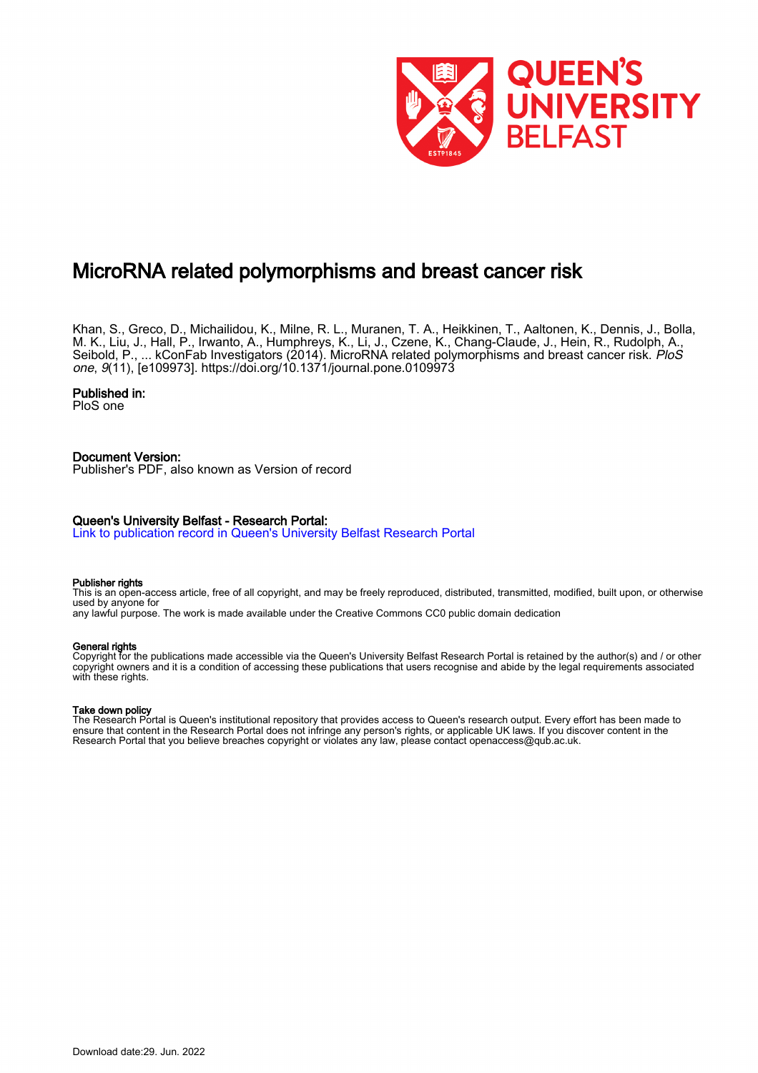

## MicroRNA related polymorphisms and breast cancer risk

Khan, S., Greco, D., Michailidou, K., Milne, R. L., Muranen, T. A., Heikkinen, T., Aaltonen, K., Dennis, J., Bolla, M. K., Liu, J., Hall, P., Irwanto, A., Humphreys, K., Li, J., Czene, K., Chang-Claude, J., Hein, R., Rudolph, A., Seibold, P., ... kConFab Investigators (2014). MicroRNA related polymorphisms and breast cancer risk. *PloS* one, 9(11), [e109973].<https://doi.org/10.1371/journal.pone.0109973>

## Published in:

PloS one

## Document Version:

Publisher's PDF, also known as Version of record

## Queen's University Belfast - Research Portal:

[Link to publication record in Queen's University Belfast Research Portal](https://pure.qub.ac.uk/en/publications/57f46c50-442c-403f-b7f9-ffcd2463dcfe)

#### Publisher rights

This is an open-access article, free of all copyright, and may be freely reproduced, distributed, transmitted, modified, built upon, or otherwise used by anyone for any lawful purpose. The work is made available under the Creative Commons CC0 public domain dedication

## General rights

Copyright for the publications made accessible via the Queen's University Belfast Research Portal is retained by the author(s) and / or other copyright owners and it is a condition of accessing these publications that users recognise and abide by the legal requirements associated with these rights.

## Take down policy

The Research Portal is Queen's institutional repository that provides access to Queen's research output. Every effort has been made to ensure that content in the Research Portal does not infringe any person's rights, or applicable UK laws. If you discover content in the Research Portal that you believe breaches copyright or violates any law, please contact openaccess@qub.ac.uk.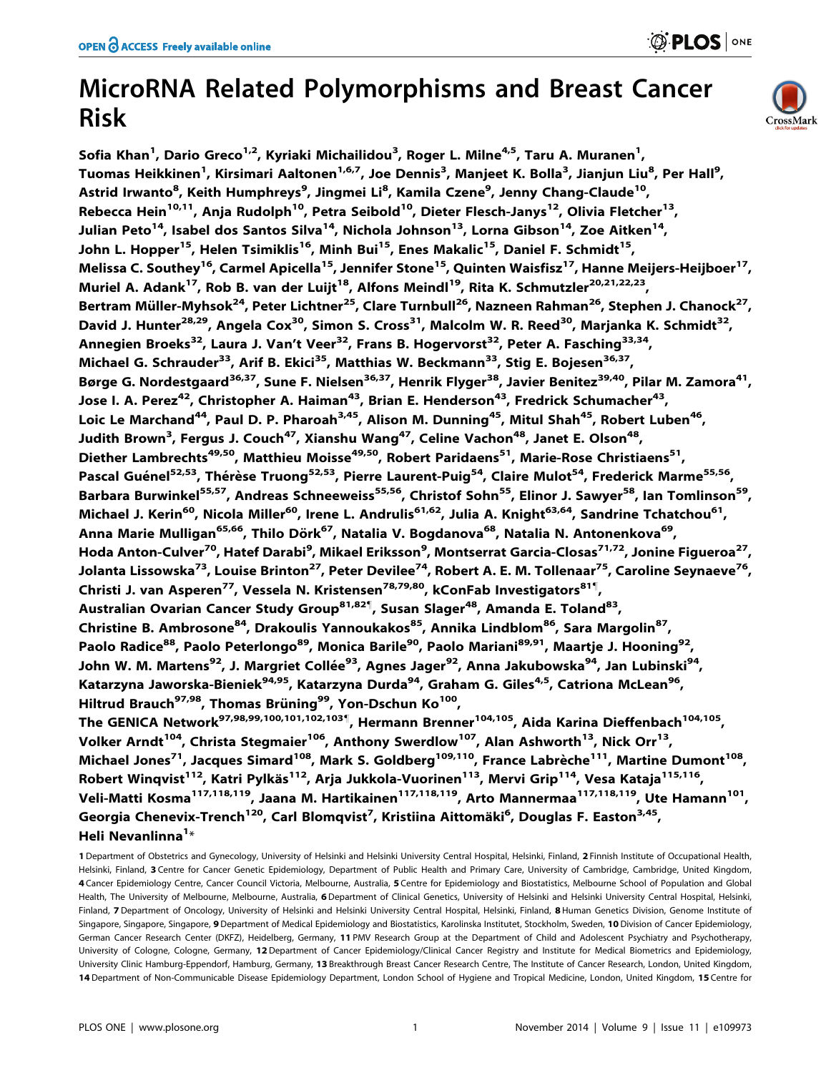# MicroRNA Related Polymorphisms and Breast Cancer Risk



Sofia Khan<sup>1</sup>, Dario Greco<sup>1,2</sup>, Kyriaki Michailidou<sup>3</sup>, Roger L. Milne<sup>4,5</sup>, Taru A. Muranen<sup>1</sup>, Tuomas Heikkinen<sup>1</sup>, Kirsimari Aaltonen<sup>1,6,7</sup>, Joe Dennis<sup>3</sup>, Manjeet K. Bolla<sup>3</sup>, Jianjun Liu<sup>8</sup>, Per Hall<sup>9</sup>, Astrid Irwanto<sup>8</sup>, Keith Humphreys<sup>9</sup>, Jingmei Li<sup>8</sup>, Kamila Czene<sup>9</sup>, Jenny Chang-Claude<sup>10</sup>, Rebecca Hein<sup>10,11</sup>, Anja Rudolph<sup>10</sup>, Petra Seibold<sup>10</sup>, Dieter Flesch-Janys<sup>12</sup>, Olivia Fletcher<sup>13</sup>, Julian Peto<sup>14</sup>, Isabel dos Santos Silva<sup>14</sup>, Nichola Johnson<sup>13</sup>, Lorna Gibson<sup>14</sup>, Zoe Aitken<sup>14</sup>, John L. Hopper<sup>15</sup>, Helen Tsimiklis<sup>16</sup>, Minh Bui<sup>15</sup>, Enes Makalic<sup>15</sup>, Daniel F. Schmidt<sup>15</sup>, Melissa C. Southey<sup>16</sup>, Carmel Apicella<sup>15</sup>, Jennifer Stone<sup>15</sup>, Quinten Waisfisz<sup>17</sup>, Hanne Meijers-Heijboer<sup>17</sup>, Muriel A. Adank<sup>17</sup>, Rob B. van der Luijt<sup>18</sup>, Alfons Meindl<sup>19</sup>, Rita K. Schmutzler<sup>20,21,22,23</sup>, Bertram Müller-Myhsok<sup>24</sup>, Peter Lichtner<sup>25</sup>, Clare Turnbull<sup>26</sup>, Nazneen Rahman<sup>26</sup>, Stephen J. Chanock<sup>27</sup>, David J. Hunter<sup>28,29</sup>, Angela Cox<sup>30</sup>, Simon S. Cross<sup>31</sup>, Malcolm W. R. Reed<sup>30</sup>, Marjanka K. Schmidt<sup>32</sup>, Annegien Broeks<sup>32</sup>, Laura J. Van't Veer<sup>32</sup>, Frans B. Hogervorst<sup>32</sup>, Peter A. Fasching<sup>33,34</sup>, Michael G. Schrauder<sup>33</sup>, Arif B. Ekici<sup>35</sup>, Matthias W. Beckmann<sup>33</sup>, Stig E. Bojesen<sup>36,37</sup>, Børge G. Nordestgaard<sup>36,37</sup>, Sune F. Nielsen<sup>36,37</sup>, Henrik Flyger<sup>38</sup>, Javier Benitez<sup>39,40</sup>, Pilar M. Zamora<sup>41</sup>, Jose I. A. Perez<sup>42</sup>, Christopher A. Haiman<sup>43</sup>, Brian E. Henderson<sup>43</sup>, Fredrick Schumacher<sup>43</sup>, Loic Le Marchand<sup>44</sup>, Paul D. P. Pharoah<sup>3,45</sup>, Alison M. Dunning<sup>45</sup>, Mitul Shah<sup>45</sup>, Robert Luben<sup>46</sup>, Judith Brown<sup>3</sup>, Fergus J. Couch<sup>47</sup>, Xianshu Wang<sup>47</sup>, Celine Vachon<sup>48</sup>, Janet E. Olson<sup>48</sup>, Diether Lambrechts<sup>49,50</sup>, Matthieu Moisse<sup>49,50</sup>, Robert Paridaens<sup>51</sup>, Marie-Rose Christiaens<sup>51</sup>, Pascal Guénel<sup>52,53</sup>, Thérèse Truong<sup>52,53</sup>, Pierre Laurent-Puig<sup>54</sup>, Claire Mulot<sup>54</sup>, Frederick Marme<sup>55,56</sup>, Barbara Burwinkel<sup>55,57</sup>, Andreas Schneeweiss<sup>55,56</sup>, Christof Sohn<sup>55</sup>, Elinor J. Sawyer<sup>58</sup>, Ian Tomlinson<sup>59</sup>, Michael J. Kerin<sup>60</sup>, Nicola Miller<sup>60</sup>, Irene L. Andrulis<sup>61,62</sup>, Julia A. Knight<sup>63,64</sup>, Sandrine Tchatchou<sup>61</sup>, Anna Marie Mulligan<sup>65,66</sup>, Thilo Dörk<sup>67</sup>, Natalia V. Bogdanova<sup>68</sup>, Natalia N. Antonenkova<sup>69</sup>, Hoda Anton-Culver<sup>70</sup>, Hatef Darabi<sup>9</sup>, Mikael Eriksson<sup>9</sup>, Montserrat Garcia-Closas<sup>71,72</sup>, Jonine Figueroa<sup>27</sup>, Jolanta Lissowska<sup>73</sup>, Louise Brinton<sup>27</sup>, Peter Devilee<sup>74</sup>, Robert A. E. M. Tollenaar<sup>75</sup>, Caroline Seynaeve<sup>76</sup>, Christi J. van Asperen<sup>77</sup>, Vessela N. Kristensen<sup>78,79,80</sup>, kConFab Investigators<sup>81¶</sup>, Australian Ovarian Cancer Study Group<sup>81,82¶</sup>, Susan Slager<sup>48</sup>, Amanda E. Toland<sup>83</sup>, Christine B. Ambrosone<sup>84</sup>, Drakoulis Yannoukakos<sup>85</sup>, Annika Lindblom<sup>86</sup>, Sara Margolin<sup>87</sup>, Paolo Radice<sup>88</sup>, Paolo Peterlongo<sup>89</sup>, Monica Barile<sup>90</sup>, Paolo Mariani<sup>89,91</sup>, Maartje J. Hooning<sup>92</sup>, John W. M. Martens<sup>92</sup>, J. Margriet Collée<sup>93</sup>, Agnes Jager<sup>92</sup>, Anna Jakubowska<sup>94</sup>, Jan Lubinski<sup>94</sup>, Katarzyna Jaworska-Bieniek<sup>94,95</sup>, Katarzyna Durda<sup>94</sup>, Graham G. Giles<sup>4,5</sup>, Catriona McLean<sup>96</sup>, Hiltrud Brauch<sup>97,98</sup>, Thomas Brüning<sup>99</sup>, Yon-Dschun Ko<sup>100</sup>, The GENICA Network<sup>97,98,99,100,101,102,103¶</sup>, Hermann Brenner<sup>104,105</sup>, Aida Karina Dieffenbach<sup>104,105</sup>, Volker Arndt<sup>104</sup>, Christa Stegmaier<sup>106</sup>, Anthony Swerdlow<sup>107</sup>, Alan Ashworth<sup>13</sup>, Nick Orr<sup>13</sup>, Michael Jones<sup>71</sup>, Jacques Simard<sup>108</sup>, Mark S. Goldberg<sup>109,110</sup>, France Labrèche<sup>111</sup>, Martine Dumont<sup>108</sup>, Robert Winqvist<sup>112</sup>, Katri Pylkäs<sup>112</sup>, Arja Jukkola-Vuorinen<sup>113</sup>, Mervi Grip<sup>114</sup>, Vesa Kataja<sup>115,116</sup>, Veli-Matti Kosma<sup>117,118,119</sup>, Jaana M. Hartikainen<sup>117,118,119</sup>, Arto Mannermaa<sup>117,118,119</sup>, Ute Hamann<sup>101</sup>, Georgia Chenevix-Trench<sup>120</sup>, Carl Blomqvist<sup>7</sup>, Kristiina Aittomäki<sup>6</sup>, Douglas F. Easton<sup>3,45</sup>, Heli Nevanlinna<sup>1</sup>\*

1 Department of Obstetrics and Gynecology, University of Helsinki and Helsinki University Central Hospital, Helsinki, Finland, 2 Finnish Institute of Occupational Health, Helsinki, Finland, 3 Centre for Cancer Genetic Epidemiology, Department of Public Health and Primary Care, University of Cambridge, Cambridge, United Kingdom, 4 Cancer Epidemiology Centre, Cancer Council Victoria, Melbourne, Australia, 5 Centre for Epidemiology and Biostatistics, Melbourne School of Population and Global Health, The University of Melbourne, Melbourne, Australia, 6 Department of Clinical Genetics, University of Helsinki and Helsinki University Central Hospital, Helsinki, Finland, 7 Department of Oncology, University of Helsinki and Helsinki University Central Hospital, Helsinki, Finland, 8 Human Genetics Division, Genome Institute of Singapore, Singapore, Singapore, 9Department of Medical Epidemiology and Biostatistics, Karolinska Institutet, Stockholm, Sweden, 10 Division of Cancer Epidemiology, German Cancer Research Center (DKFZ), Heidelberg, Germany, 11 PMV Research Group at the Department of Child and Adolescent Psychiatry and Psychotherapy, University of Cologne, Cologne, Germany, 12 Department of Cancer Epidemiology/Clinical Cancer Registry and Institute for Medical Biometrics and Epidemiology, University Clinic Hamburg-Eppendorf, Hamburg, Germany, 13 Breakthrough Breast Cancer Research Centre, The Institute of Cancer Research, London, United Kingdom, 14 Department of Non-Communicable Disease Epidemiology Department, London School of Hygiene and Tropical Medicine, London, United Kingdom, 15 Centre for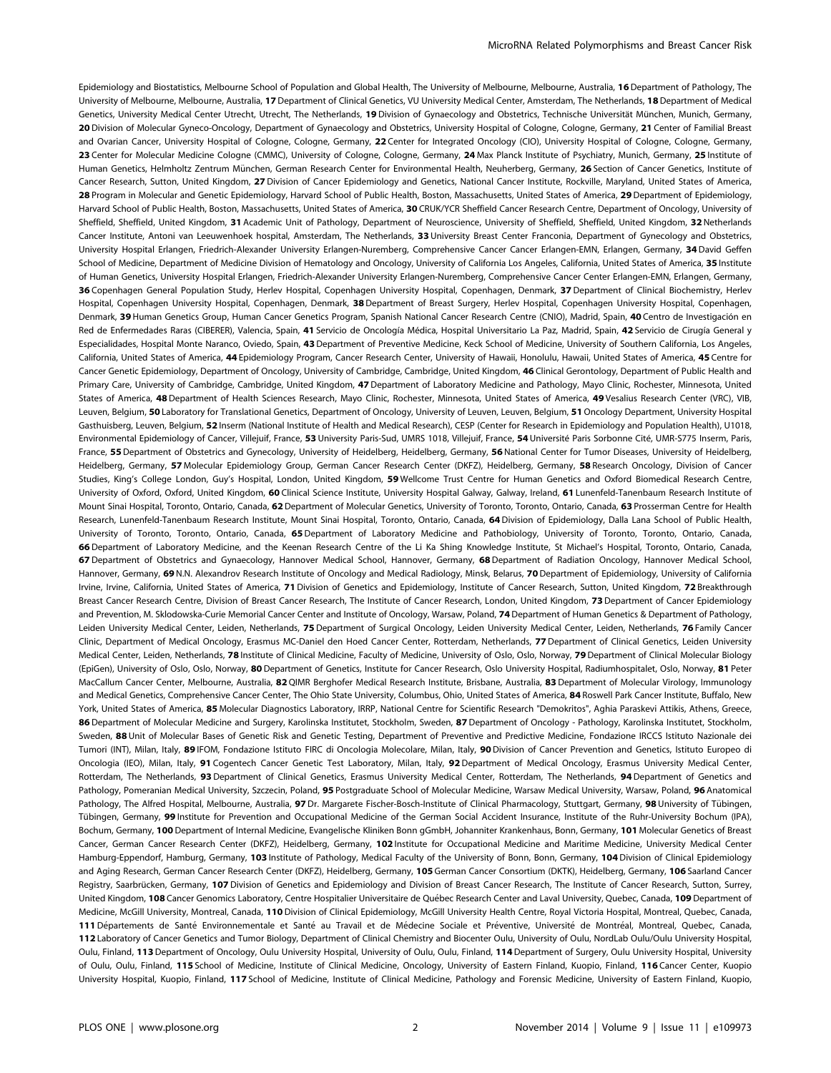Epidemiology and Biostatistics, Melbourne School of Population and Global Health, The University of Melbourne, Melbourne, Australia, 16 Department of Pathology, The University of Melbourne, Melbourne, Australia, 17 Department of Clinical Genetics, VU University Medical Center, Amsterdam, The Netherlands, 18 Department of Medical Genetics, University Medical Center Utrecht, Utrecht, The Netherlands, 19 Division of Gynaecology and Obstetrics, Technische Universität München, Munich, Germany, 20 Division of Molecular Gyneco-Oncology, Department of Gynaecology and Obstetrics, University Hospital of Cologne, Cologne, Germany, 21 Center of Familial Breast and Ovarian Cancer, University Hospital of Cologne, Cologne, Germany, 22 Center for Integrated Oncology (CIO), University Hospital of Cologne, Cologne, Germany, 23 Center for Molecular Medicine Cologne (CMMC), University of Cologne, Gologne, Germany, 24 Max Planck Institute of Psychiatry, Munich, Germany, 25 Institute of Human Genetics, Helmholtz Zentrum München, German Research Center for Environmental Health, Neuherberg, Germany, 26 Section of Cancer Genetics, Institute of Cancer Research, Sutton, United Kingdom, 27 Division of Cancer Epidemiology and Genetics, National Cancer Institute, Rockville, Maryland, United States of America, 28 Program in Molecular and Genetic Epidemiology, Harvard School of Public Health, Boston, Massachusetts, United States of America, 29 Department of Epidemiology, Harvard School of Public Health, Boston, Massachusetts, United States of America, 30 CRUK/YCR Sheffield Cancer Research Centre, Department of Oncology, University of Sheffield, Sheffield, United Kingdom, 31 Academic Unit of Pathology, Department of Neuroscience, University of Sheffield, Sheffield, United Kingdom, 32 Netherlands Cancer Institute, Antoni van Leeuwenhoek hospital, Amsterdam, The Netherlands, 33 University Breast Center Franconia, Department of Gynecology and Obstetrics, University Hospital Erlangen, Friedrich-Alexander University Erlangen-Nuremberg, Comprehensive Cancer Cancer Erlangen-EMN, Erlangen, Germany, 34 David Geffen School of Medicine, Department of Medicine Division of Hematology and Oncology, University of California Los Angeles, California, United States of America, 35 Institute of Human Genetics, University Hospital Erlangen, Friedrich-Alexander University Erlangen-Nuremberg, Comprehensive Cancer Center Erlangen-EMN, Erlangen, Germany, 36 Copenhagen General Population Study, Herlev Hospital, Copenhagen University Hospital, Copenhagen, Denmark, 37 Department of Clinical Biochemistry, Herlev Hospital, Copenhagen University Hospital, Copenhagen, Denmark, 38 Department of Breast Surgery, Herlev Hospital, Copenhagen University Hospital, Copenhagen, Denmark, 39 Human Genetics Group, Human Cancer Genetics Program, Spanish National Cancer Research Centre (CNIO), Madrid, Spain, 40 Centro de Investigación en Red de Enfermedades Raras (CIBERER), Valencia, Spain, 41 Servicio de Oncología Médica, Hospital Universitario La Paz, Madrid, Spain, 42 Servicio de Cirugía General y Especialidades, Hospital Monte Naranco, Oviedo, Spain, 43 Department of Preventive Medicine, Keck School of Medicine, University of Southern California, Los Angeles, California, United States of America, 44 Epidemiology Program, Cancer Research Center, University of Hawaii, Honolulu, Hawaii, United States of America, 45 Centre for Cancer Genetic Epidemiology, Department of Oncology, University of Cambridge, Cambridge, United Kingdom, 46 Clinical Gerontology, Department of Public Health and Primary Care, University of Cambridge, Cambridge, United Kingdom, 47 Department of Laboratory Medicine and Pathology, Mayo Clinic, Rochester, Minnesota, United States of America, 48Department of Health Sciences Research, Mayo Clinic, Rochester, Minnesota, United States of America, 49 Vesalius Research Center (VRC), VIB, Leuven, Belgium, 50 Laboratory for Translational Genetics, Department of Oncology, University of Leuven, Leuven, Belgium, 51 Oncology Department, University Hospital Gasthuisberg, Leuven, Belgium, 52 Inserm (National Institute of Health and Medical Research), CESP (Center for Research in Epidemiology and Population Health), U1018, Environmental Epidemiology of Cancer, Villejuif, France, 53 University Paris-Sud, UMRS 1018, Villejuif, France, 54 Université Paris Sorbonne Cité, UMR-S775 Inserm, Paris, France, 55 Department of Obstetrics and Gynecology, University of Heidelberg, Heidelberg, Germany, 56 National Center for Tumor Diseases, University of Heidelberg, Heidelberg, Germany, 57 Molecular Epidemiology Group, German Cancer Research Center (DKFZ), Heidelberg, Germany, 58 Research Oncology, Division of Cancer Studies, King's College London, Guy's Hospital, London, United Kingdom, 59 Wellcome Trust Centre for Human Genetics and Oxford Biomedical Research Centre, University of Oxford, Oxford, United Kingdom, 60 Clinical Science Institute, University Hospital Galway, Galway, Ireland, 61 Lunenfeld-Tanenbaum Research Institute of Mount Sinai Hospital, Toronto, Ontario, Canada, 62 Department of Molecular Genetics, University of Toronto, Toronto, Ontario, Canada, 63 Prosserman Centre for Health Research, Lunenfeld-Tanenbaum Research Institute, Mount Sinai Hospital, Toronto, Ontario, Canada, 64 Division of Epidemiology, Dalla Lana School of Public Health, University of Toronto, Toronto, Ontario, Canada, 65 Department of Laboratory Medicine and Pathobiology, University of Toronto, Toronto, Ontario, Canada, 66 Department of Laboratory Medicine, and the Keenan Research Centre of the Li Ka Shing Knowledge Institute, St Michael's Hospital, Toronto, Ontario, Canada, 67 Department of Obstetrics and Gynaecology, Hannover Medical School, Hannover, Germany, 68 Department of Radiation Oncology, Hannover Medical School, Hannover, Germany, 69 N.N. Alexandrov Research Institute of Oncology and Medical Radiology, Minsk, Belarus, 70 Department of Epidemiology, University of California Irvine, Irvine, California, United States of America, 71 Division of Genetics and Epidemiology, Institute of Cancer Research, Sutton, United Kingdom, 72 Breakthrough Breast Cancer Research Centre, Division of Breast Cancer Research, The Institute of Cancer Research, London, United Kingdom, 73 Department of Cancer Epidemiology and Prevention, M. Sklodowska-Curie Memorial Cancer Center and Institute of Oncology, Warsaw, Poland, 74 Department of Human Genetics & Department of Pathology, Leiden University Medical Center, Leiden, Netherlands, 75 Department of Surgical Oncology, Leiden University Medical Center, Leiden, Netherlands, 76 Family Cancer Clinic, Department of Medical Oncology, Erasmus MC-Daniel den Hoed Cancer Center, Rotterdam, Netherlands, 77 Department of Clinical Genetics, Leiden University Medical Center, Leiden, Netherlands, 78 Institute of Clinical Medicine, Faculty of Medicine, University of Oslo, Oslo, Norway, 79 Department of Clinical Molecular Biology (EpiGen), University of Oslo, Oslo, Norway, 80 Department of Genetics, Institute for Cancer Research, Oslo University Hospital, Radiumhospitalet, Oslo, Norway, 81 Peter MacCallum Cancer Center, Melbourne, Australia, 82 QIMR Berghofer Medical Research Institute, Brisbane, Australia, 83 Department of Molecular Virology, Immunology and Medical Genetics, Comprehensive Cancer Center, The Ohio State University, Columbus, Ohio, United States of America, 84 Roswell Park Cancer Institute, Buffalo, New York, United States of America, 85 Molecular Diagnostics Laboratory, IRRP, National Centre for Scientific Research "Demokritos", Aghia Paraskevi Attikis, Athens, Greece, 86 Department of Molecular Medicine and Surgery, Karolinska Institutet, Stockholm, Sweden, 87 Department of Oncology - Pathology, Karolinska Institutet, Stockholm, Sweden, 88 Unit of Molecular Bases of Genetic Risk and Genetic Testing, Department of Preventive and Predictive Medicine, Fondazione IRCCS Istituto Nazionale dei Tumori (INT), Milan, Italy, 89 IFOM, Fondazione Istituto FIRC di Oncologia Molecolare, Milan, Italy, 90 Division of Cancer Prevention and Genetics, Istituto Europeo di Oncologia (IEO), Milan, Italy, 91 Cogentech Cancer Genetic Test Laboratory, Milan, Italy, 92 Department of Medical Oncology, Erasmus University Medical Center, Rotterdam, The Netherlands, 93 Department of Clinical Genetics, Erasmus University Medical Center, Rotterdam, The Netherlands, 94 Department of Genetics and Pathology, Pomeranian Medical University, Szczecin, Poland, 95 Postgraduate School of Molecular Medicine, Warsaw Medical University, Warsaw, Poland, 96 Anatomical Pathology, The Alfred Hospital, Melbourne, Australia, 97 Dr. Margarete Fischer-Bosch-Institute of Clinical Pharmacology, Stuttgart, Germany, 98 University of Tübingen, Tübingen, Germany, 99 Institute for Prevention and Occupational Medicine of the German Social Accident Insurance, Institute of the Ruhr-University Bochum (IPA), Bochum, Germany, 100 Department of Internal Medicine, Evangelische Kliniken Bonn gGmbH, Johanniter Krankenhaus, Bonn, Germany, 101 Molecular Genetics of Breast Cancer, German Cancer Research Center (DKFZ), Heidelberg, Germany, 102 Institute for Occupational Medicine and Maritime Medicine, University Medical Center Hamburg-Eppendorf, Hamburg, Germany, 103 Institute of Pathology, Medical Faculty of the University of Bonn, Bonn, Germany, 104 Division of Clinical Epidemiology and Aging Research, German Cancer Research Center (DKFZ), Heidelberg, Germany, 105 German Cancer Consortium (DKTK), Heidelberg, Germany, 106 Saarland Cancer Registry, Saarbrücken, Germany, 107 Division of Genetics and Epidemiology and Division of Breast Cancer Research, The Institute of Cancer Research, Sutton, Surrey, United Kingdom, 108 Cancer Genomics Laboratory, Centre Hospitalier Universitaire de Québec Research Center and Laval University, Quebec, Canada, 109 Department of Medicine, McGill University, Montreal, Canada, 110 Division of Clinical Epidemiology, McGill University Health Centre, Royal Victoria Hospital, Montreal, Quebec, Canada, 111 Départements de Santé Environnementale et Santé au Travail et de Médecine Sociale et Préventive, Université de Montréal, Montreal, Quebec, Canada, 112 Laboratory of Cancer Genetics and Tumor Biology, Department of Clinical Chemistry and Biocenter Oulu, University of Oulu, NordLab Oulu/Oulu University Hospital, Oulu, Finland, 113 Department of Oncology, Oulu University Hospital, University of Oulu, Oulu, Finland, 114 Department of Surgery, Oulu University Hospital, University of Oulu, Oulu, Finland, 115 School of Medicine, Institute of Clinical Medicine, Oncology, University of Eastern Finland, Kuopio, Finland, 116 Cancer Center, Kuopio University Hospital, Kuopio, Finland, 117 School of Medicine, Institute of Clinical Medicine, Pathology and Forensic Medicine, University of Eastern Finland, Kuopio,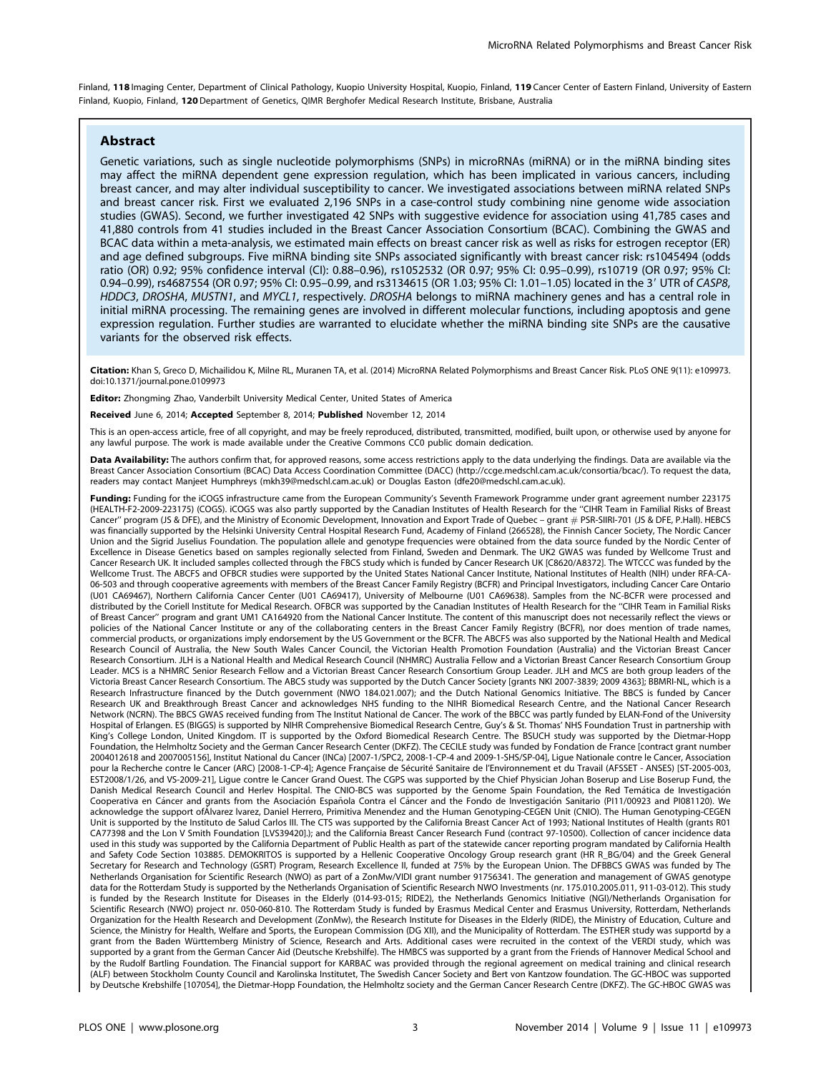Finland, 118 Imaging Center, Department of Clinical Pathology, Kuopio University Hospital, Kuopio, Finland, 119 Cancer Center of Eastern Finland, University of Eastern Finland, Kuopio, Finland, 120 Department of Genetics, QIMR Berghofer Medical Research Institute, Brisbane, Australia

## Abstract

Genetic variations, such as single nucleotide polymorphisms (SNPs) in microRNAs (miRNA) or in the miRNA binding sites may affect the miRNA dependent gene expression regulation, which has been implicated in various cancers, including breast cancer, and may alter individual susceptibility to cancer. We investigated associations between miRNA related SNPs and breast cancer risk. First we evaluated 2,196 SNPs in a case-control study combining nine genome wide association studies (GWAS). Second, we further investigated 42 SNPs with suggestive evidence for association using 41,785 cases and 41,880 controls from 41 studies included in the Breast Cancer Association Consortium (BCAC). Combining the GWAS and BCAC data within a meta-analysis, we estimated main effects on breast cancer risk as well as risks for estrogen receptor (ER) and age defined subgroups. Five miRNA binding site SNPs associated significantly with breast cancer risk: rs1045494 (odds ratio (OR) 0.92; 95% confidence interval (CI): 0.88–0.96), rs1052532 (OR 0.97; 95% CI: 0.95–0.99), rs10719 (OR 0.97; 95% CI: 0.94-0.99), rs4687554 (OR 0.97; 95% CI: 0.95-0.99, and rs3134615 (OR 1.03; 95% CI: 1.01-1.05) located in the 3' UTR of CASP8, HDDC3, DROSHA, MUSTN1, and MYCL1, respectively. DROSHA belongs to miRNA machinery genes and has a central role in initial miRNA processing. The remaining genes are involved in different molecular functions, including apoptosis and gene expression regulation. Further studies are warranted to elucidate whether the miRNA binding site SNPs are the causative variants for the observed risk effects.

Citation: Khan S, Greco D, Michailidou K, Milne RL, Muranen TA, et al. (2014) MicroRNA Related Polymorphisms and Breast Cancer Risk. PLoS ONE 9(11): e109973. doi:10.1371/journal.pone.0109973

Editor: Zhongming Zhao, Vanderbilt University Medical Center, United States of America

Received June 6, 2014; Accepted September 8, 2014; Published November 12, 2014

This is an open-access article, free of all copyright, and may be freely reproduced, distributed, transmitted, modified, built upon, or otherwise used by anyone for any lawful purpose. The work is made available under the Creative Commons CC0 public domain dedication.

Data Availability: The authors confirm that, for approved reasons, some access restrictions apply to the data underlying the findings. Data are available via the Breast Cancer Association Consortium (BCAC) Data Access Coordination Committee (DACC) [\(http://ccge.medschl.cam.ac.uk/consortia/bcac/\)](http://ccge.medschl.cam.ac.uk/consortia/bcac/). To request the data, readers may contact Manjeet Humphreys (mkh39@medschl.cam.ac.uk) or Douglas Easton (dfe20@medschl.cam.ac.uk).

**Funding:** Funding for the iCOGS infrastructure came from the European Community's Seventh Framework Programme under grant agreement number 223175 (HEALTH-F2-2009-223175) (COGS). iCOGS was also partly supported by the Canadian Institutes of Health Research for the ''CIHR Team in Familial Risks of Breast Cancer'' program (JS & DFE), and the Ministry of Economic Development, Innovation and Export Trade of Quebec – grant # PSR-SIIRI-701 (JS & DFE, P.Hall). HEBCS was financially supported by the Helsinki University Central Hospital Research Fund, Academy of Finland (266528), the Finnish Cancer Society, The Nordic Cancer Union and the Sigrid Juselius Foundation. The population allele and genotype frequencies were obtained from the data source funded by the Nordic Center of Excellence in Disease Genetics based on samples regionally selected from Finland, Sweden and Denmark. The UK2 GWAS was funded by Wellcome Trust and Cancer Research UK. It included samples collected through the FBCS study which is funded by Cancer Research UK [C8620/A8372]. The WTCCC was funded by the Wellcome Trust. The ABCFS and OFBCR studies were supported by the United States National Cancer Institute, National Institutes of Health (NIH) under RFA-CA-06-503 and through cooperative agreements with members of the Breast Cancer Family Registry (BCFR) and Principal Investigators, including Cancer Care Ontario (U01 CA69467), Northern California Cancer Center (U01 CA69417), University of Melbourne (U01 CA69638). Samples from the NC-BCFR were processed and distributed by the Coriell Institute for Medical Research. OFBCR was supported by the Canadian Institutes of Health Research for the ''CIHR Team in Familial Risks of Breast Cancer'' program and grant UM1 CA164920 from the National Cancer Institute. The content of this manuscript does not necessarily reflect the views or policies of the National Cancer Institute or any of the collaborating centers in the Breast Cancer Family Registry (BCFR), nor does mention of trade names, commercial products, or organizations imply endorsement by the US Government or the BCFR. The ABCFS was also supported by the National Health and Medical Research Council of Australia, the New South Wales Cancer Council, the Victorian Health Promotion Foundation (Australia) and the Victorian Breast Cancer Research Consortium. JLH is a National Health and Medical Research Council (NHMRC) Australia Fellow and a Victorian Breast Cancer Research Consortium Group Leader. MCS is a NHMRC Senior Research Fellow and a Victorian Breast Cancer Research Consortium Group Leader. JLH and MCS are both group leaders of the Victoria Breast Cancer Research Consortium. The ABCS study was supported by the Dutch Cancer Society [grants NKI 2007-3839; 2009 4363]; BBMRI-NL, which is a Research Infrastructure financed by the Dutch government (NWO 184.021.007); and the Dutch National Genomics Initiative. The BBCS is funded by Cancer Research UK and Breakthrough Breast Cancer and acknowledges NHS funding to the NIHR Biomedical Research Centre, and the National Cancer Research Network (NCRN). The BBCS GWAS received funding from The Institut National de Cancer. The work of the BBCC was partly funded by ELAN-Fond of the University Hospital of Erlangen. ES (BIGGS) is supported by NIHR Comprehensive Biomedical Research Centre, Guy's & St. Thomas' NHS Foundation Trust in partnership with King's College London, United Kingdom. IT is supported by the Oxford Biomedical Research Centre. The BSUCH study was supported by the Dietmar-Hopp Foundation, the Helmholtz Society and the German Cancer Research Center (DKFZ). The CECILE study was funded by Fondation de France [contract grant number 2004012618 and 2007005156], Institut National du Cancer (INCa) [2007-1/SPC2, 2008-1-CP-4 and 2009-1-SHS/SP-04], Ligue Nationale contre le Cancer, Association pour la Recherche contre le Cancer (ARC) [2008-1-CP-4]; Agence Française de Sécurité Sanitaire de l'Environnement et du Travail (AFSSET - ANSES) [ST-2005-003, EST2008/1/26, and VS-2009-21], Ligue contre le Cancer Grand Ouest. The CGPS was supported by the Chief Physician Johan Boserup and Lise Boserup Fund, the Danish Medical Research Council and Herlev Hospital. The CNIO-BCS was supported by the Genome Spain Foundation, the Red Temática de Investigación Cooperativa en Cáncer and grants from the Asociación Española Contra el Cáncer and the Fondo de Investigación Sanitario (PI11/00923 and PI081120). We acknowledge the support of Avarez Ivarez, Daniel Herrero, Primitiva Menendez and the Human Genotyping-CEGEN Unit (CNIO). The Human Genotyping-CEGEN Unit is supported by the Instituto de Salud Carlos III. The CTS was supported by the California Breast Cancer Act of 1993; National Institutes of Health (grants R01 CA77398 and the Lon V Smith Foundation [LVS39420].); and the California Breast Cancer Research Fund (contract 97-10500). Collection of cancer incidence data used in this study was supported by the California Department of Public Health as part of the statewide cancer reporting program mandated by California Health and Safety Code Section 103885. DEMOKRITOS is supported by a Hellenic Cooperative Oncology Group research grant (HR R\_BG/04) and the Greek General Secretary for Research and Technology (GSRT) Program, Research Excellence II, funded at 75% by the European Union. The DFBBCS GWAS was funded by The Netherlands Organisation for Scientific Research (NWO) as part of a ZonMw/VIDI grant number 91756341. The generation and management of GWAS genotype data for the Rotterdam Study is supported by the Netherlands Organisation of Scientific Research NWO Investments (nr. 175.010.2005.011, 911-03-012). This study is funded by the Research Institute for Diseases in the Elderly (014-93-015; RIDE2), the Netherlands Genomics Initiative (NGI)/Netherlands Organisation for Scientific Research (NWO) project nr. 050-060-810. The Rotterdam Study is funded by Erasmus Medical Center and Erasmus University, Rotterdam, Netherlands Organization for the Health Research and Development (ZonMw), the Research Institute for Diseases in the Elderly (RIDE), the Ministry of Education, Culture and Science, the Ministry for Health, Welfare and Sports, the European Commission (DG XII), and the Municipality of Rotterdam. The ESTHER study was supportd by a grant from the Baden Württemberg Ministry of Science, Research and Arts. Additional cases were recruited in the context of the VERDI study, which was supported by a grant from the German Cancer Aid (Deutsche Krebshilfe). The HMBCS was supported by a grant from the Friends of Hannover Medical School and by the Rudolf Bartling Foundation. The Financial support for KARBAC was provided through the regional agreement on medical training and clinical research (ALF) between Stockholm County Council and Karolinska Institutet, The Swedish Cancer Society and Bert von Kantzow foundation. The GC-HBOC was supported by Deutsche Krebshilfe [107054], the Dietmar-Hopp Foundation, the Helmholtz society and the German Cancer Research Centre (DKFZ). The GC-HBOC GWAS was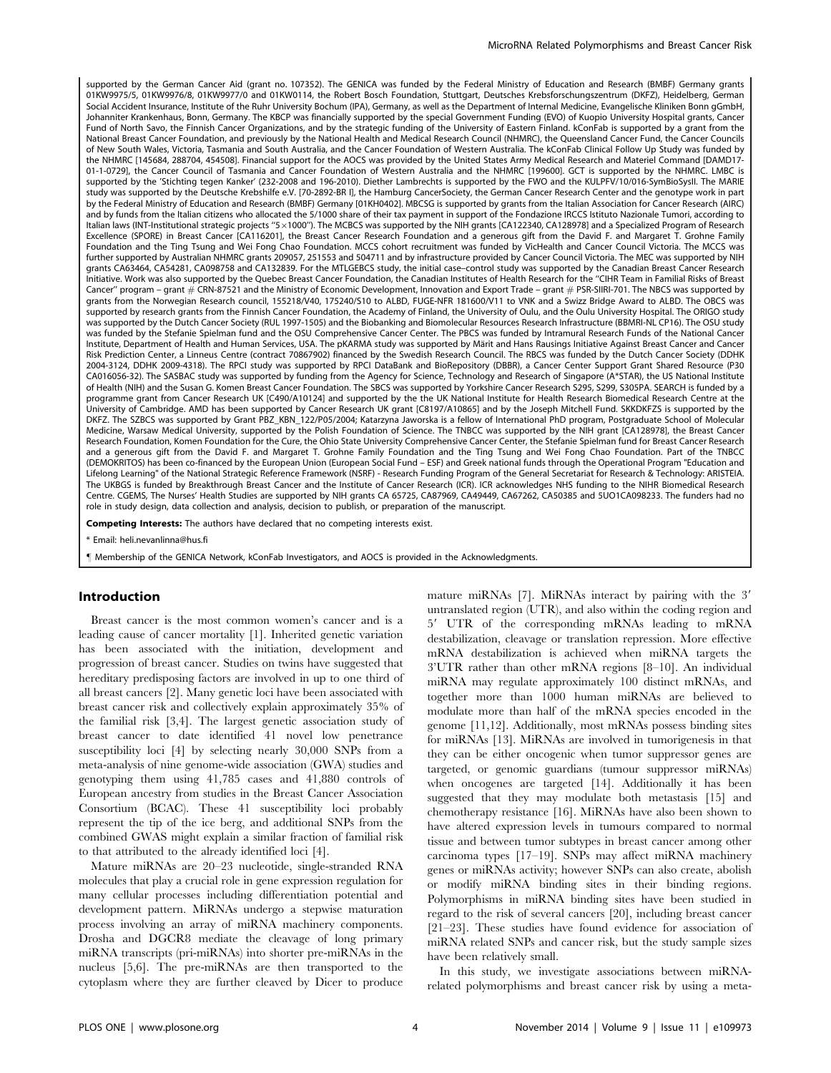supported by the German Cancer Aid (grant no. 107352). The GENICA was funded by the Federal Ministry of Education and Research (BMBF) Germany grants 01KW9975/5, 01KW9976/8, 01KW9977/0 and 01KW0114, the Robert Bosch Foundation, Stuttgart, Deutsches Krebsforschungszentrum (DKFZ), Heidelberg, German Social Accident Insurance, Institute of the Ruhr University Bochum (IPA), Germany, as well as the Department of Internal Medicine, Evangelische Kliniken Bonn gGmbH, Johanniter Krankenhaus, Bonn, Germany. The KBCP was financially supported by the special Government Funding (EVO) of Kuopio University Hospital grants, Cancer Fund of North Savo, the Finnish Cancer Organizations, and by the strategic funding of the University of Eastern Finland. kConFab is supported by a grant from the National Breast Cancer Foundation, and previously by the National Health and Medical Research Council (NHMRC), the Queensland Cancer Fund, the Cancer Councils of New South Wales, Victoria, Tasmania and South Australia, and the Cancer Foundation of Western Australia. The kConFab Clinical Follow Up Study was funded by the NHMRC [145684, 288704, 454508]. Financial support for the AOCS was provided by the United States Army Medical Research and Materiel Command [DAMD17- 01-1-0729], the Cancer Council of Tasmania and Cancer Foundation of Western Australia and the NHMRC [199600]. GCT is supported by the NHMRC. LMBC is supported by the 'Stichting tegen Kanker' (232-2008 and 196-2010). Diether Lambrechts is supported by the FWO and the KULPFV/10/016-SymBioSysII. The MARIE study was supported by the Deutsche Krebshilfe e.V. [70-2892-BR I], the Hamburg CancerSociety, the German Cancer Research Center and the genotype work in part by the Federal Ministry of Education and Research (BMBF) Germany [01KH0402]. MBCSG is supported by grants from the Italian Association for Cancer Research (AIRC) and by funds from the Italian citizens who allocated the 5/1000 share of their tax payment in support of the Fondazione IRCCS Istituto Nazionale Tumori, according to Italian laws (INT-Institutional strategic projects "5×1000"). The MCBCS was supported by the NIH grants [CA122340, CA128978] and a Specialized Program of Research Excellence (SPORE) in Breast Cancer [CA116201], the Breast Cancer Research Foundation and a generous gift from the David F. and Margaret T. Grohne Family Foundation and the Ting Tsung and Wei Fong Chao Foundation. MCCS cohort recruitment was funded by VicHealth and Cancer Council Victoria. The MCCS was further supported by Australian NHMRC grants 209057, 251553 and 504711 and by infrastructure provided by Cancer Council Victoria. The MEC was supported by NIH grants CA63464, CA54281, CA098758 and CA132839. For the MTLGEBCS study, the initial case–control study was supported by the Canadian Breast Cancer Research Initiative. Work was also supported by the Quebec Breast Cancer Foundation, the Canadian Institutes of Health Research for the ''CIHR Team in Familial Risks of Breast Cancer'' program – grant # CRN-87521 and the Ministry of Economic Development, Innovation and Export Trade – grant # PSR-SIIRI-701. The NBCS was supported by grants from the Norwegian Research council, 155218/V40, 175240/S10 to ALBD, FUGE-NFR 181600/V11 to VNK and a Swizz Bridge Award to ALBD. The OBCS was supported by research grants from the Finnish Cancer Foundation, the Academy of Finland, the University of Oulu, and the Oulu University Hospital. The ORIGO study was supported by the Dutch Cancer Society (RUL 1997-1505) and the Biobanking and Biomolecular Resources Research Infrastructure (BBMRI-NL CP16). The OSU study was funded by the Stefanie Spielman fund and the OSU Comprehensive Cancer Center. The PBCS was funded by Intramural Research Funds of the National Cancer Institute, Department of Health and Human Services, USA. The pKARMA study was supported by Märit and Hans Rausings Initiative Against Breast Cancer and Cancer<br>Risk Prediction Center, a Linneus Centre (contract 70867902) fi 2004-3124, DDHK 2009-4318). The RPCI study was supported by RPCI DataBank and BioRepository (DBBR), a Cancer Center Support Grant Shared Resource (P30 CA016056-32). The SASBAC study was supported by funding from the Agency for Science, Technology and Research of Singapore (A\*STAR), the US National Institute of Health (NIH) and the Susan G. Komen Breast Cancer Foundation. The SBCS was supported by Yorkshire Cancer Research S295, S299, S305PA. SEARCH is funded by a programme grant from Cancer Research UK [C490/A10124] and supported by the the UK National Institute for Health Research Biomedical Research Centre at the University of Cambridge. AMD has been supported by Cancer Research UK grant [C8197/A10865] and by the Joseph Mitchell Fund. SKKDKFZS is supported by the DKFZ. The SZBCS was supported by Grant PBZ\_KBN\_122/P05/2004; Katarzyna Jaworska is a fellow of International PhD program, Postgraduate School of Molecular Medicine, Warsaw Medical University, supported by the Polish Foundation of Science. The TNBCC was supported by the NIH grant [CA128978], the Breast Cancer Research Foundation, Komen Foundation for the Cure, the Ohio State University Comprehensive Cancer Center, the Stefanie Spielman fund for Breast Cancer Research and a generous gift from the David F. and Margaret T. Grohne Family Foundation and the Ting Tsung and Wei Fong Chao Foundation. Part of the TNBCC (DEMOKRITOS) has been co-financed by the European Union (European Social Fund – ESF) and Greek national funds through the Operational Program "Education and Lifelong Learning" of the National Strategic Reference Framework (NSRF) - Research Funding Program of the General Secretariat for Research & Technology: ARISTEIA. The UKBGS is funded by Breakthrough Breast Cancer and the Institute of Cancer Research (ICR). ICR acknowledges NHS funding to the NIHR Biomedical Research Centre. CGEMS, The Nurses' Health Studies are supported by NIH grants CA 65725, CA87969, CA49449, CA67262, CA50385 and 5UO1CA098233. The funders had no role in study design, data collection and analysis, decision to publish, or preparation of the manuscript.

**Competing Interests:** The authors have declared that no competing interests exist.

\* Email: heli.nevanlinna@hus.fi

" Membership of the GENICA Network, kConFab Investigators, and AOCS is provided in the Acknowledgments.

#### Introduction

Breast cancer is the most common women's cancer and is a leading cause of cancer mortality [1]. Inherited genetic variation has been associated with the initiation, development and progression of breast cancer. Studies on twins have suggested that hereditary predisposing factors are involved in up to one third of all breast cancers [2]. Many genetic loci have been associated with breast cancer risk and collectively explain approximately 35% of the familial risk [3,4]. The largest genetic association study of breast cancer to date identified 41 novel low penetrance susceptibility loci [4] by selecting nearly 30,000 SNPs from a meta-analysis of nine genome-wide association (GWA) studies and genotyping them using 41,785 cases and 41,880 controls of European ancestry from studies in the Breast Cancer Association Consortium (BCAC). These 41 susceptibility loci probably represent the tip of the ice berg, and additional SNPs from the combined GWAS might explain a similar fraction of familial risk to that attributed to the already identified loci [4].

Mature miRNAs are 20–23 nucleotide, single-stranded RNA molecules that play a crucial role in gene expression regulation for many cellular processes including differentiation potential and development pattern. MiRNAs undergo a stepwise maturation process involving an array of miRNA machinery components. Drosha and DGCR8 mediate the cleavage of long primary miRNA transcripts (pri-miRNAs) into shorter pre-miRNAs in the nucleus [5,6]. The pre-miRNAs are then transported to the cytoplasm where they are further cleaved by Dicer to produce

mature miRNAs  $[7]$ . MiRNAs interact by pairing with the 3' untranslated region (UTR), and also within the coding region and 5' UTR of the corresponding mRNAs leading to mRNA destabilization, cleavage or translation repression. More effective mRNA destabilization is achieved when miRNA targets the 3'UTR rather than other mRNA regions [8–10]. An individual miRNA may regulate approximately 100 distinct mRNAs, and together more than 1000 human miRNAs are believed to modulate more than half of the mRNA species encoded in the genome [11,12]. Additionally, most mRNAs possess binding sites for miRNAs [13]. MiRNAs are involved in tumorigenesis in that they can be either oncogenic when tumor suppressor genes are targeted, or genomic guardians (tumour suppressor miRNAs) when oncogenes are targeted [14]. Additionally it has been suggested that they may modulate both metastasis [15] and chemotherapy resistance [16]. MiRNAs have also been shown to have altered expression levels in tumours compared to normal tissue and between tumor subtypes in breast cancer among other carcinoma types [17–19]. SNPs may affect miRNA machinery genes or miRNAs activity; however SNPs can also create, abolish or modify miRNA binding sites in their binding regions. Polymorphisms in miRNA binding sites have been studied in regard to the risk of several cancers [20], including breast cancer [21–23]. These studies have found evidence for association of miRNA related SNPs and cancer risk, but the study sample sizes have been relatively small.

In this study, we investigate associations between miRNArelated polymorphisms and breast cancer risk by using a meta-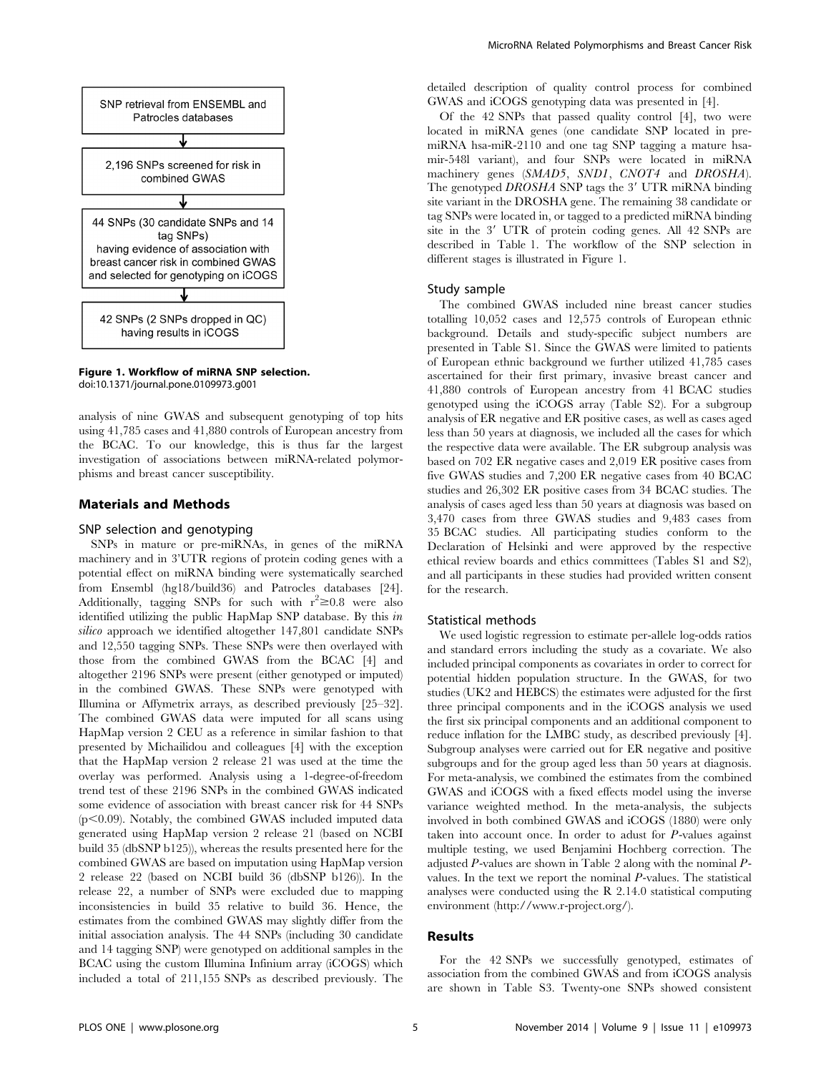

Figure 1. Workflow of miRNA SNP selection. doi:10.1371/journal.pone.0109973.g001

analysis of nine GWAS and subsequent genotyping of top hits using 41,785 cases and 41,880 controls of European ancestry from the BCAC. To our knowledge, this is thus far the largest investigation of associations between miRNA-related polymorphisms and breast cancer susceptibility.

#### Materials and Methods

#### SNP selection and genotyping

SNPs in mature or pre-miRNAs, in genes of the miRNA machinery and in 3'UTR regions of protein coding genes with a potential effect on miRNA binding were systematically searched from Ensembl (hg18/build36) and Patrocles databases [24]. Additionally, tagging SNPs for such with  $r^2 \ge 0.8$  were also identified utilizing the public HapMap SNP database. By this in silico approach we identified altogether 147,801 candidate SNPs and 12,550 tagging SNPs. These SNPs were then overlayed with those from the combined GWAS from the BCAC [4] and altogether 2196 SNPs were present (either genotyped or imputed) in the combined GWAS. These SNPs were genotyped with Illumina or Affymetrix arrays, as described previously [25–32]. The combined GWAS data were imputed for all scans using HapMap version 2 CEU as a reference in similar fashion to that presented by Michailidou and colleagues [4] with the exception that the HapMap version 2 release 21 was used at the time the overlay was performed. Analysis using a 1-degree-of-freedom trend test of these 2196 SNPs in the combined GWAS indicated some evidence of association with breast cancer risk for 44 SNPs  $(p<0.09)$ . Notably, the combined GWAS included imputed data generated using HapMap version 2 release 21 (based on NCBI build 35 (dbSNP b125)), whereas the results presented here for the combined GWAS are based on imputation using HapMap version 2 release 22 (based on NCBI build 36 (dbSNP b126)). In the release 22, a number of SNPs were excluded due to mapping inconsistencies in build 35 relative to build 36. Hence, the estimates from the combined GWAS may slightly differ from the initial association analysis. The 44 SNPs (including 30 candidate and 14 tagging SNP) were genotyped on additional samples in the BCAC using the custom Illumina Infinium array (iCOGS) which included a total of 211,155 SNPs as described previously. The

detailed description of quality control process for combined GWAS and iCOGS genotyping data was presented in [4].

Of the 42 SNPs that passed quality control [4], two were located in miRNA genes (one candidate SNP located in premiRNA hsa-miR-2110 and one tag SNP tagging a mature hsamir-548l variant), and four SNPs were located in miRNA machinery genes (SMAD5, SND1, CNOT4 and DROSHA). The genotyped  $DROSHA$  SNP tags the 3' UTR miRNA binding site variant in the DROSHA gene. The remaining 38 candidate or tag SNPs were located in, or tagged to a predicted miRNA binding site in the 3' UTR of protein coding genes. All 42 SNPs are described in Table 1. The workflow of the SNP selection in different stages is illustrated in Figure 1.

#### Study sample

The combined GWAS included nine breast cancer studies totalling 10,052 cases and 12,575 controls of European ethnic background. Details and study-specific subject numbers are presented in Table S1. Since the GWAS were limited to patients of European ethnic background we further utilized 41,785 cases ascertained for their first primary, invasive breast cancer and 41,880 controls of European ancestry from 41 BCAC studies genotyped using the iCOGS array (Table S2). For a subgroup analysis of ER negative and ER positive cases, as well as cases aged less than 50 years at diagnosis, we included all the cases for which the respective data were available. The ER subgroup analysis was based on 702 ER negative cases and 2,019 ER positive cases from five GWAS studies and 7,200 ER negative cases from 40 BCAC studies and 26,302 ER positive cases from 34 BCAC studies. The analysis of cases aged less than 50 years at diagnosis was based on 3,470 cases from three GWAS studies and 9,483 cases from 35 BCAC studies. All participating studies conform to the Declaration of Helsinki and were approved by the respective ethical review boards and ethics committees (Tables S1 and S2), and all participants in these studies had provided written consent for the research.

## Statistical methods

We used logistic regression to estimate per-allele log-odds ratios and standard errors including the study as a covariate. We also included principal components as covariates in order to correct for potential hidden population structure. In the GWAS, for two studies (UK2 and HEBCS) the estimates were adjusted for the first three principal components and in the iCOGS analysis we used the first six principal components and an additional component to reduce inflation for the LMBC study, as described previously [4]. Subgroup analyses were carried out for ER negative and positive subgroups and for the group aged less than 50 years at diagnosis. For meta-analysis, we combined the estimates from the combined GWAS and iCOGS with a fixed effects model using the inverse variance weighted method. In the meta-analysis, the subjects involved in both combined GWAS and iCOGS (1880) were only taken into account once. In order to adust for  $P$ -values against multiple testing, we used Benjamini Hochberg correction. The adjusted P-values are shown in Table 2 along with the nominal Pvalues. In the text we report the nominal  $P$ -values. The statistical analyses were conducted using the R 2.14.0 statistical computing environment [\(http://www.r-project.org/\)](http://www.r-project.org/).

#### Results

For the 42 SNPs we successfully genotyped, estimates of association from the combined GWAS and from iCOGS analysis are shown in Table S3. Twenty-one SNPs showed consistent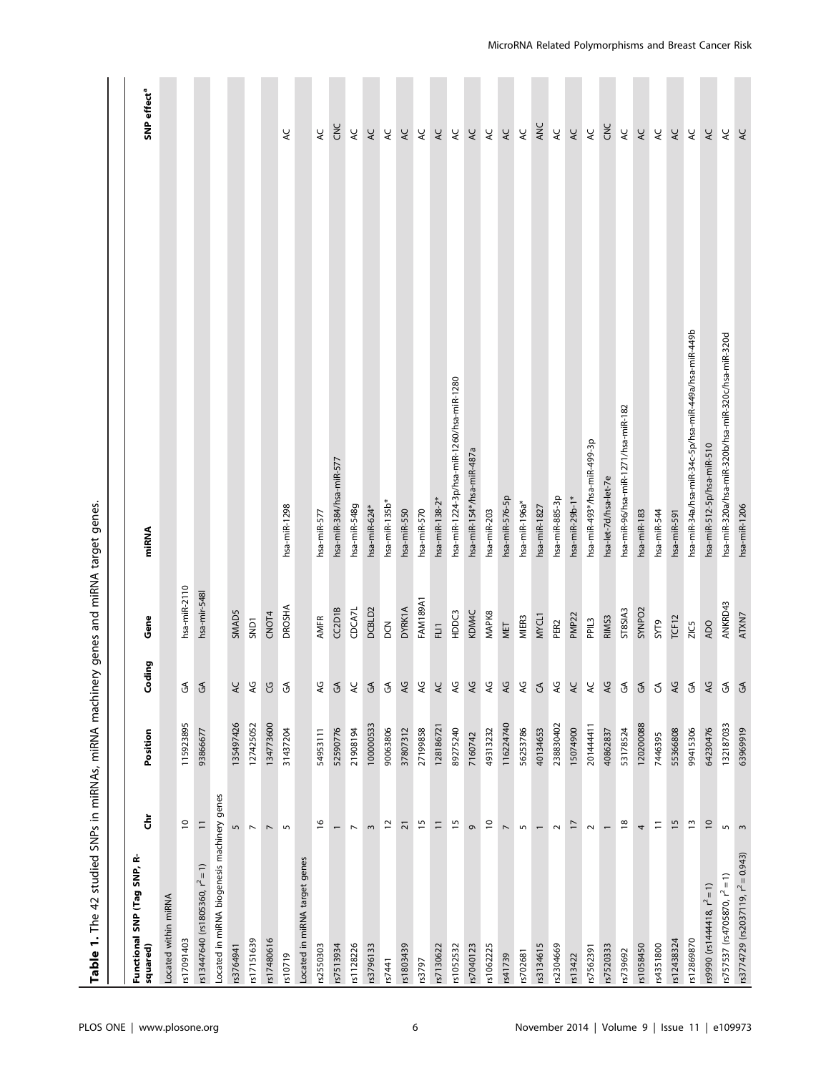| Table 1. The 42 studied SNPs in miRNAs, miRNA machinery |                          |           |                  | genes and miRNA target genes. |                                                           |                         |
|---------------------------------------------------------|--------------------------|-----------|------------------|-------------------------------|-----------------------------------------------------------|-------------------------|
|                                                         |                          |           |                  |                               |                                                           |                         |
| ¢<br>Functional SNP (Tag SNP,<br>squared)               | $\ddot{\tilde{\sigma}}$  | Position  | ۱ng<br>آ<br>ပိ   | Gene                          | miRNA                                                     | SNP effect <sup>a</sup> |
| Located within miRNA                                    |                          |           |                  |                               |                                                           |                         |
| rs17091403                                              | $\overline{\phantom{0}}$ | 115923895 | $\mathfrak{S}$   | hsa-miR-2110                  |                                                           |                         |
| rs13447640 (rs1805360, $r^2 = 1$ )                      | $\overline{1}$           | 93866677  | $\mathfrak{S}$   | hsa-mir-548                   |                                                           |                         |
| Located in miRNA biogenesis machinery genes             |                          |           |                  |                               |                                                           |                         |
| rs3764941                                               | 5                        | 135497426 | $\lambda$ C      | <b>SMAD5</b>                  |                                                           |                         |
| rs17151639                                              | $\overline{ }$           | 127425052 | ÁG               | <b>IGNS</b>                   |                                                           |                         |
| rs17480616                                              | $\overline{\phantom{a}}$ | 134773600 | ပိ               | CNOT4                         |                                                           |                         |
| rs10719                                                 | $\overline{5}$           | 31437204  | $\mathfrak{S}$   | <b>DROSHA</b>                 | ¥<br>hsa-miR-1298                                         |                         |
| Located in miRNA target genes                           |                          |           |                  |                               |                                                           |                         |
| rs2550303                                               | $\frac{8}{2}$            | 54953111  | ÁG               | AMFR                          | ¥<br>hsa-miR-577                                          |                         |
| rs7513934                                               | $\overline{\phantom{0}}$ | 52590776  | $\mathfrak{S}$   | CC2D1B                        | <b>CNC</b><br>hsa-miR-384/hsa-miR-577                     |                         |
| rs1128226                                               | $\overline{\phantom{a}}$ | 21908194  | ¥                | <b>CDCA7L</b>                 | ¥<br>hsa-miR-548g                                         |                         |
| rs3796133                                               | $\sim$                   | 100000533 | $\mathfrak{S}$   | DCBLD2                        | $\lambda C$<br>hsa-miR-624*                               |                         |
| rs7441                                                  | $\overline{5}$           | 90063806  | $\mathbb S$      | <b>PCN</b>                    | ¥<br>hsa-miR-135b*                                        |                         |
| rs1803439                                               | $\overline{2}$           | 37807312  | AC               | <b>DYRK1A</b>                 | Q<br>hsa-miR-550                                          |                         |
| rs3797                                                  | 15                       | 27199858  | AC               | <b>FAM189A1</b>               | ¥<br>hsa-miR-570                                          |                         |
| rs7130622                                               | $\equiv$                 | 12818672  | $\prec$          | 三<br>ELI                      | $\lambda C$<br>hsa-miR-138-2*                             |                         |
| rs1052532                                               | 15                       | 89275240  | ÁG               | HDDC3                         | ¥<br>hsa-miR-1224-3p/hsa-miR-1260/hsa-miR-1280            |                         |
| rs7040123                                               | G                        | 7160742   | ረረ               | <b>KDM4C</b>                  | $\lambda$ C<br>hsa-miR-154*/hsa-miR-487a                  |                         |
| rs1062225                                               | $\overline{c}$           | 49313232  | AG               | MAPK8                         | ¥<br>hsa-miR-203                                          |                         |
| rs41739                                                 | $\overline{\phantom{a}}$ | 116224740 | $\overline{A}$ G | MET                           | $\prec$<br>hsa-miR-576-5p                                 |                         |
| rs702681                                                | $\mathsf{L}\cap$         | 56253786  | ÁG               | MIER3                         | $\lambda$ C<br>hsa-miR-196a*                              |                         |
| rs3134615                                               | $\overline{\phantom{0}}$ | 40134653  | J                | MYCL1                         | ANC<br>hsa-miR-1827                                       |                         |
| rs2304669                                               | $\sim$                   | 238830402 | AG               | PER2                          | $\lambda C$<br>hsa-miR-885-3p                             |                         |
| rs13422                                                 | 17                       | 15074900  | $\prec$          | PMP <sub>22</sub>             | $\lambda C$<br>hsa-miR-29b-1*                             |                         |
| rs7562391                                               | $\sim$                   | 20144411  | $\lambda C$      | PPIL3                         | $\lambda C$<br>hsa-miR-493*/hsa-miR-499-3p                |                         |
| rs7520333                                               | $\overline{\phantom{0}}$ | 40862837  | AC               | RIMS3                         | <b>SC</b><br>hsa-let-7d/hsa-let-7e                        |                         |
| rs739692                                                | $\frac{8}{2}$            | 53178524  | $\mathbb S$      | ST8SIA <sub>3</sub>           | ¥<br>hsa-miR-96/hsa-miR-1271/hsa-miR-182                  |                         |
| rs1058450                                               | 4                        | 120200088 | $\mathfrak{S}$   | SYNPO <sub>2</sub>            | X<br>hsa-miR-183                                          |                         |
| rs4351800                                               | $\Xi$                    | 7446395   | $\mathfrak S$    | SYT9                          | ¥<br>hsa-miR-544                                          |                         |
| rs12438324                                              | $\frac{15}{2}$           | 55366808  | AC               | TCF12                         | ¥<br>hsa-miR-591                                          |                         |
| rs12869870                                              | $\overline{1}$           | 99415306  | $\mathfrak{S}$   | ZIC5                          | ¥<br>hsa-miR-34a/hsa-miR-34c-5p/hsa-miR-449a/hsa-miR-449b |                         |
| rs9990 (rs1444418, $r^2 = 1$ )                          | $\overline{c}$           | 64230476  | AC               | ADO                           | $\lambda C$<br>hsa-miR-512-5p/hsa-miR-510                 |                         |
| rs757537 (rs4705870, $r^2 = 1$ )                        | $\mathsf{L}\cap$         | 132187033 | $\mathbb S$      | ANKRD43                       | Q<br>hsa-miR-320a/hsa-miR-320b/hsa-miR-320c/hsa-miR-320d  |                         |
| rs3774729 (rs2037119, $r^2 = 0.943$ )                   | $\sim$                   | 63969919  | $\mathfrak{S}$   | ATXN7                         | Q<br>hsa-miR-1206                                         |                         |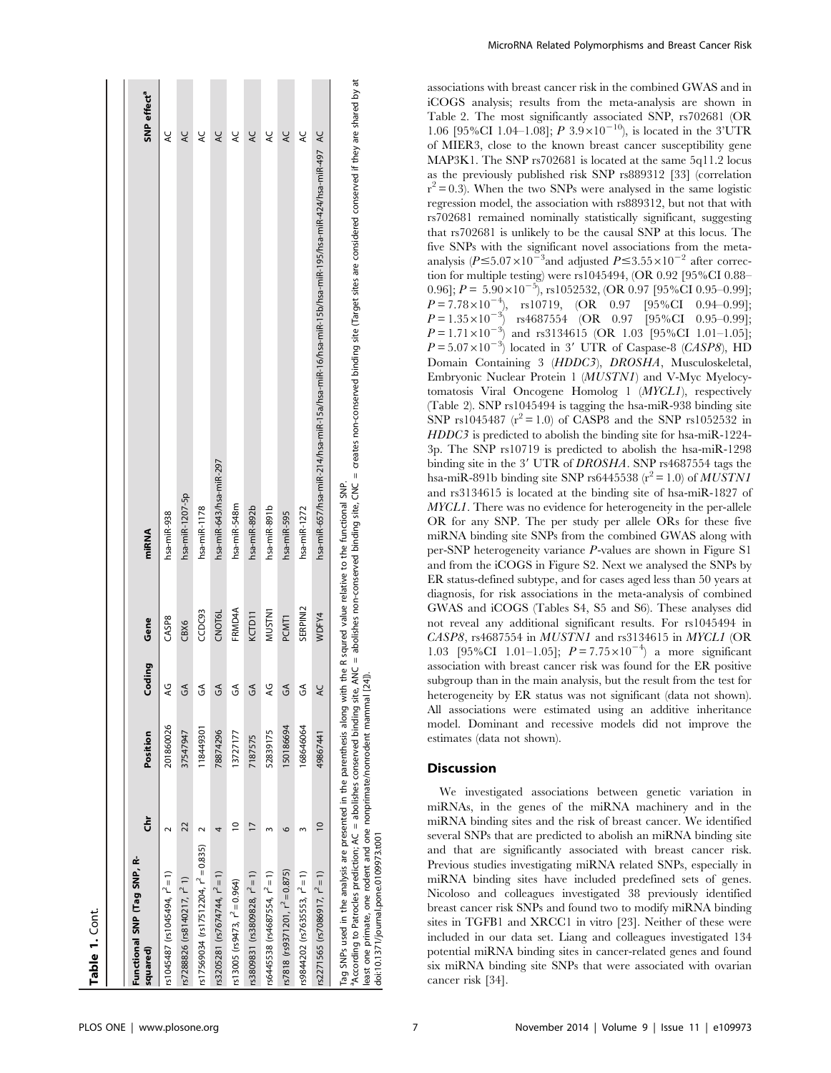| Functional SNP (Tag SNP, R-                                                                                                                                                                                                                                                                                                                    | Ğ              | Position  | Coding         | Gene          | miRNA                                                                                                                                                | SNP effect <sup>a</sup> |
|------------------------------------------------------------------------------------------------------------------------------------------------------------------------------------------------------------------------------------------------------------------------------------------------------------------------------------------------|----------------|-----------|----------------|---------------|------------------------------------------------------------------------------------------------------------------------------------------------------|-------------------------|
| squared)                                                                                                                                                                                                                                                                                                                                       |                |           |                |               |                                                                                                                                                      |                         |
| rs1045487 (rs1045494, $r^2 = 1$ )                                                                                                                                                                                                                                                                                                              |                | 201860026 | Q              | CASP8         | Q<br>hsa-miR-938                                                                                                                                     |                         |
| rs7288826 (rs8140217, r <sup>2</sup> 1)                                                                                                                                                                                                                                                                                                        | 22             | 37547947  | $\mathfrak{F}$ | CBX6          | $\lambda C$<br>hsa-miR-1207-5p                                                                                                                       |                         |
| rs17569034 (rs17512204, $r' = 0.835$ )                                                                                                                                                                                                                                                                                                         |                | 118449301 | E              | CCDC93        | Q<br>hsa-miR-1178                                                                                                                                    |                         |
| rs3205281 (rs7674744, $r^2 = 1$ )                                                                                                                                                                                                                                                                                                              |                | 78874296  | $\mathfrak{S}$ | <b>CNOT6L</b> | QC<br>hsa-miR-643/hsa-miR-297                                                                                                                        |                         |
| rs13005 (rs9473, $r^2 = 0.964$ )                                                                                                                                                                                                                                                                                                               | $\circ$        | 13727177  | E              | <b>FRMD4A</b> | ¥<br>hsa-miR-548m                                                                                                                                    |                         |
| rs3809831 (rs3809828, $r^2 = 1$ )                                                                                                                                                                                                                                                                                                              | 17             | 7187575   | $\mathfrak{F}$ | KCTD11        | QC<br>hsa-miR-892b                                                                                                                                   |                         |
| rs6445538 (rs4687554, $r^2 = 1$ )                                                                                                                                                                                                                                                                                                              |                | 52839175  | QY             | <b>MUSTN1</b> | Q<br>hsa-miR-891b                                                                                                                                    |                         |
| rs7818 (rs9371201, $r^2 = 0.875$ )                                                                                                                                                                                                                                                                                                             | $\circ$        | 150186694 | $\mathfrak{F}$ | PCMT1         | QC<br>hsa-miR-595                                                                                                                                    |                         |
| rs9844202 (rs7635553, $r^2 = 1$ )                                                                                                                                                                                                                                                                                                              |                | 168646064 | E              | SERPINI2      | Q<br>hsa-miR-1272                                                                                                                                    |                         |
| rs2271565 (rs7086917, $r^2 = 1$ )                                                                                                                                                                                                                                                                                                              | $\overline{0}$ | 49867441  | ΑC             | WDFY4         | hsa-miR-657/hsa-miR-214/hsa-miR-15a/hsa-miR-16/hsa-miR-15b/hsa-miR-195/hsa-miR-424/hsa-miR-497 AC                                                    |                         |
| Tag SNPs used in the analysis are presented in the parenthesis along with the R squred value relative to the functional SNP.<br>least one primate, one rodent and one nonprimate/nonrodent mammal [24]).<br>${}^{\text{a}}$ According to Patrocles prediction; AC = abolishes conserved binding site,<br>doi:10.1371/journal.pone.0109973.t001 |                |           |                |               | ANC = abolishes non-conserved binding site, CNC = creates non-conserved binding site (Target sites are considered conserved if they are shared by at |                         |

associations with breast cancer risk in the combined GWAS and in iCOGS analysis; results from the meta-analysis are shown in Table 2. The most significantly associated SNP, rs702681 (OR 1.06 [95%CI 1.04–1.08]; P  $3.9 \times 10^{-10}$ , is located in the 3'UTR of MIER3, close to the known breast cancer susceptibility gene MAP3K1. The SNP rs702681 is located at the same 5q11.2 locus as the previously published risk SNP rs889312 [33] (correlation  $r^2 = 0.3$ ). When the two SNPs were analysed in the same logistic regression model, the association with rs889312, but not that with rs702681 remained nominally statistically significant, suggesting that rs702681 is unlikely to be the causal SNP at this locus. The five SNPs with the significant novel associations from the metaanalysis ( $P \le 5.07 \times 10^{-3}$  and adjusted  $P \le 3.55 \times 10^{-2}$  after correction for multiple testing) were rs1045494, (OR 0.92 [95%CI 0.88– 0.96];  $P = 5.90 \times 10^{-5}$ , rs1052532, (OR 0.97 [95%CI 0.95-0.99];  $P = 7.78 \times 10^{-4}$ , rs10719, (OR 0.97 [95%CI 0.94-0.99];  $P = 1.35 \times 10^{-3}$  rs4687554 (OR 0.97 [95%CI 0.95–0.99];  $P = 1.71 \times 10^{-3}$  and rs3134615 (OR 1.03 [95%CI 1.01–1.05];  $P = 5.07 \times 10^{-3}$  located in 3' UTR of Caspase-8 (CASP8), HD Domain Containing 3 (HDDC3), DROSHA, Musculoskeletal, Embryonic Nuclear Protein 1 (MUSTN1) and V-Myc Myelocytomatosis Viral Oncogene Homolog 1 (MYCL1), respectively (Table 2). SNP rs1045494 is tagging the hsa-miR-938 binding site SNP rs1045487 ( $r^2 = 1.0$ ) of CASP8 and the SNP rs1052532 in HDDC3 is predicted to abolish the binding site for hsa-miR-1224- 3p. The SNP rs10719 is predicted to abolish the hsa-miR-1298 binding site in the 3' UTR of DROSHA. SNP rs4687554 tags the hsa-miR-891b binding site SNP rs6445538 ( $r^2$  = 1.0) of *MUSTN1* and rs3134615 is located at the binding site of hsa-miR-1827 of MYCL1. There was no evidence for heterogeneity in the per-allele OR for any SNP. The per study per allele ORs for these five miRNA binding site SNPs from the combined GWAS along with per-SNP heterogeneity variance P-values are shown in Figure S1 and from the iCOGS in Figure S2. Next we analysed the SNPs by ER status-defined subtype, and for cases aged less than 50 years at diagnosis, for risk associations in the meta-analysis of combined GWAS and iCOGS (Tables S4, S5 and S6). These analyses did not reveal any additional significant results. For rs1045494 in CASP8, rs4687554 in MUSTN1 and rs3134615 in MYCL1 (OR 1.03 [95%CI 1.01-1.05];  $P = 7.75 \times 10^{-4}$  a more significant association with breast cancer risk was found for the ER positive subgroup than in the main analysis, but the result from the test for heterogeneity by ER status was not significant (data not shown). All associations were estimated using an additive inheritance model. Dominant and recessive models did not improve the estimates (data not shown).

## Discussion

We investigated associations between genetic variation in miRNAs, in the genes of the miRNA machinery and in the miRNA binding sites and the risk of breast cancer. We identified several SNPs that are predicted to abolish an miRNA binding site and that are significantly associated with breast cancer risk. Previous studies investigating miRNA related SNPs, especially in miRNA binding sites have included predefined sets of genes. Nicoloso and colleagues investigated 38 previously identified breast cancer risk SNPs and found two to modify miRNA binding sites in TGFB1 and XRCC1 in vitro [23]. Neither of these were included in our data set. Liang and colleagues investigated 134 potential miRNA binding sites in cancer-related genes and found six miRNA binding site SNPs that were associated with ovarian cancer risk [34].

 $T = h \cdot \frac{1}{2}$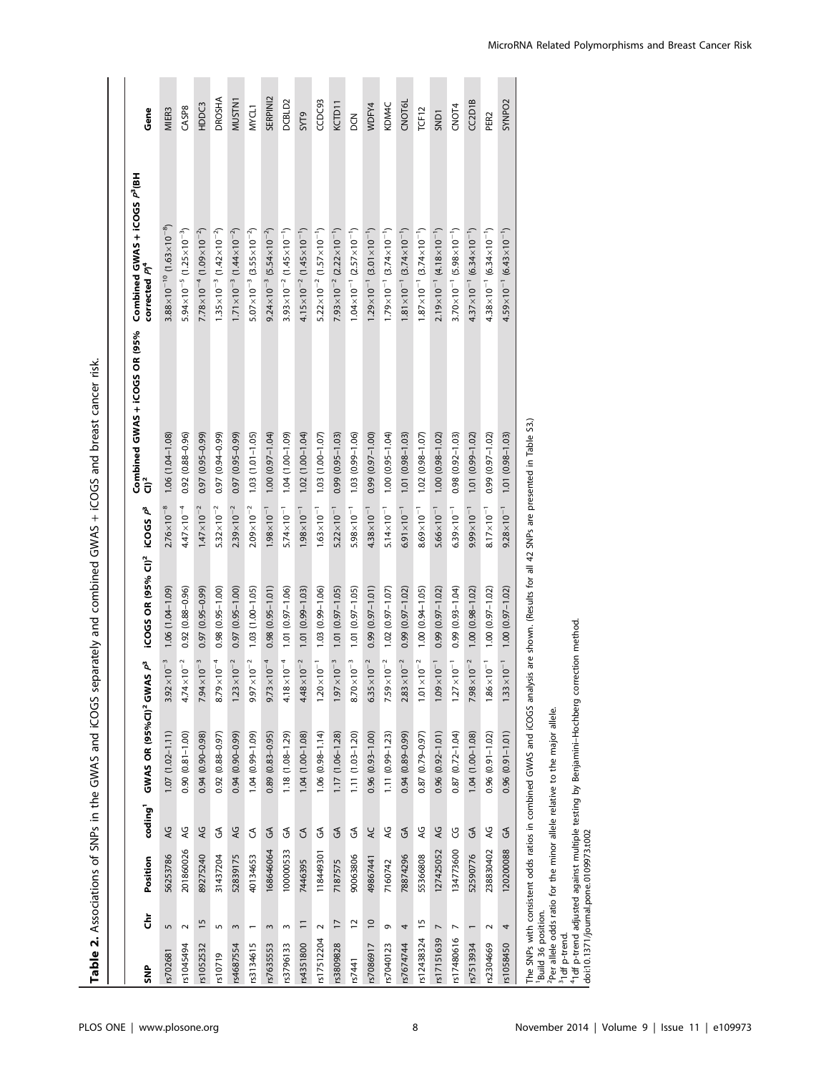| Gene<br>Combined GWAS + iCOGS OR (95%   Combined GWAS + iCOGS <i>P</i> *(BH<br>CI) <sup>2</sup> | MIER <sub>3</sub><br>$3.88 \times 10^{-10}$ (1.63 $\times 10^{-8}$ ) | CASP8<br>$5.94 \times 10^{-5}$ (1.25 × 10 <sup>-3</sup> ) | HDDC3<br>$7.78\times10^{-4}$ $(1.09\times10^{-2})$ | DROSHA<br>$1.35 \times 10^{-3}$ $(1.42 \times 10^{-2})$ | <b>MUSTN1</b><br>$1.71 \times 10^{-3}$ $(1.44 \times 10^{-2})$ | MYCL1<br>$5.07 \times 10^{-3}$ $(3.55 \times 10^{-2})$ | SERPINI2<br>$9.24 \times 10^{-3}$ (5.54 × 10 <sup>-2</sup> ) | DCBLD2<br>$3.93 \times 10^{-2}$ (1.45 $\times 10^{-1}$ ) | SYT9<br>$4.15 \times 10^{-2}$ (1.45 × 10 <sup>-1</sup> ) | CCDC93<br>$5.22 \times 10^{-2}$ $(1.57 \times 10^{-1})$ | KCTD11<br>$7.93 \times 10^{-2}$ $(2.22 \times 10^{-1})$ | <b>NO</b><br>$1.04 \times 10^{-1}$ $(2.57 \times 10^{-1})$ | WDFY4<br>$1.29 \times 10^{-1}$ $(3.01 \times 10^{-1})$ | KDM4C<br>$1.79 \times 10^{-1}$ $(3.74 \times 10^{-1})$ | CNOT6L<br>$1.81 \times 10^{-1}$ $(3.74 \times 10^{-1})$ | TCF12<br>$1.87 \times 10^{-1}$ $(3.74 \times 10^{-1})$ | SND <sub>1</sub><br>$2.19 \times 10^{-1}$ (4.18 × 10 <sup>-1</sup> ) | CNOT4<br>$3.70 \times 10^{-1}$ $(5.98 \times 10^{-1})$ | CC <sub>2</sub> D <sub>1</sub> B<br>$4.37 \times 10^{-1}$ (6.34×10 <sup>-1</sup> ) | PER <sub>2</sub><br>$4.38 \times 10^{-1}$ (6.34 × 10 <sup>-1</sup> ) | SYNPO <sub>2</sub><br>$4.59 \times 10^{-1}$ (6.43 × 10 <sup>-1</sup> ) |                                                                                                                                                                                 |
|-------------------------------------------------------------------------------------------------|----------------------------------------------------------------------|-----------------------------------------------------------|----------------------------------------------------|---------------------------------------------------------|----------------------------------------------------------------|--------------------------------------------------------|--------------------------------------------------------------|----------------------------------------------------------|----------------------------------------------------------|---------------------------------------------------------|---------------------------------------------------------|------------------------------------------------------------|--------------------------------------------------------|--------------------------------------------------------|---------------------------------------------------------|--------------------------------------------------------|----------------------------------------------------------------------|--------------------------------------------------------|------------------------------------------------------------------------------------|----------------------------------------------------------------------|------------------------------------------------------------------------|---------------------------------------------------------------------------------------------------------------------------------------------------------------------------------|
|                                                                                                 | $1.06(1.04 - 1.08)$                                                  | $(96.0 - 88.0)$ 26.0                                      | $(66.0 - 56.0)$ $(6.95 - 0.99)$                    | 0.97 (0.94-0.99)                                        | $(66.0 - 56.0)$ $25 - 0.9$                                     | $1.03(1.01 - 1.05)$                                    | $1.00(0.97 - 1.04)$                                          | $1.04(1.00 - 1.09)$                                      | $1.02(1.00 - 1.04)$                                      | $1.03(1.00 - 1.07)$                                     | $0.99(0.95 - 1.03)$                                     | $1.03(0.99 - 1.06)$                                        | $0.99(0.97 - 1.00)$                                    | $1.00(0.95 - 1.04)$                                    | $1.01(0.98 - 1.03)$                                     | $1.02(0.98 - 1.07)$                                    | $1.00(0.98 - 1.02)$                                                  | $0.98(0.92 - 1.03)$                                    | $1.01(0.99 - 1.02)$                                                                | 0.99 (0.97-1.02)                                                     | $1.01(0.98-1.03)$                                                      |                                                                                                                                                                                 |
| iCOGS OR (95% CI) <sup>2</sup> iCOGS $P^3$                                                      | $2.76 \times 10^{-8}$                                                | $4.47 \times 10^{-4}$                                     | $1.47 \times 10^{-2}$                              | $5.32 \times 10^{-2}$                                   | $2.39 \times 10^{-2}$                                          | $2.09 \times 10^{-2}$                                  | $1.98 \times 10^{-1}$                                        | $5.74 \times 10^{-1}$                                    | $1.98 \times 10^{-1}$                                    | $1.63 \times 10^{-1}$                                   | $5.22 \times 10^{-1}$                                   | $5.98 \times 10^{-1}$                                      | $4.38 \times 10^{-1}$                                  | $5.14 \times 10^{-1}$                                  | $6.91 \times 10^{-1}$                                   | $8.69 \times 10^{-1}$                                  | $5.66 \times 10^{-1}$                                                | $6.39 \times 10^{-1}$                                  | $9.99 \times 10^{-1}$                                                              | $8.17 \times 10^{-1}$                                                | $9.28 \times 10^{-1}$                                                  | The SNPs with consistent odds ratios in combined GWAS and iCOGS analysis are shown. (Results for all 42 SNPs are presented in Table S3.                                         |
|                                                                                                 | $1.06(1.04 - 1.09)$                                                  | $0.92(0.88 - 0.96)$                                       | $(66.0 - 56.0)$ $(0.95 - 0.99)$                    | $0.98$ $(0.95 - 1.00)$                                  | $0.97(0.95 - 1.00)$                                            | $1.03(1.00 - 1.05)$                                    | $0.98$ $(0.95 - 1.01)$                                       | $1.01 (0.97 - 1.06)$                                     | $1.01(0.99 - 1.03)$                                      | $1.03(0.99 - 1.06)$                                     | $1.01 (0.97 - 1.05)$                                    | $1.01 (0.97 - 1.05)$                                       | $0.99$ $(0.97 - 1.01)$                                 | $1.02 (0.97 - 1.07)$                                   | $0.99$ $(0.97 - 1.02)$                                  | $1.00(0.94 - 1.05)$                                    | $0.99$ $(0.97 - 1.02)$                                               | $0.99$ $(0.93 - 1.04)$                                 | $1.00 (0.98 - 1.02)$                                                               | $1.00 (0.97 - 1.02)$                                                 | $1.00(0.97 - 1.02)$                                                    |                                                                                                                                                                                 |
|                                                                                                 | $3.92 \times 10^{-3}$                                                | $4.74 \times 10^{-2}$                                     | $7.94 \times 10^{-3}$                              | $8.79 \times 10^{-4}$                                   | $1.23 \times 10^{-2}$                                          | $9.97 \times 10^{-2}$                                  | $9.73 \times 10^{-4}$                                        | $4.18 \times 10^{-4}$                                    | $4.48 \times 10^{-2}$                                    | $1.20 \times 10^{-1}$                                   | $1.97 \times 10^{-3}$                                   | $8.70 \times 10^{-3}$                                      | $6.35 \times 10^{-2}$                                  | $7.59 \times 10^{-2}$                                  | $2.83 \times 10^{-2}$                                   | $1 \times 10^{-2}$<br>1.01                             | $1.09 \times 10^{-1}$                                                | $1.27 \times 10^{-1}$                                  | $7.98 \times 10^{-2}$                                                              | $1.86 \times 10^{-1}$                                                | $1.33 \times 10^{-1}$                                                  |                                                                                                                                                                                 |
| GWAS OR (95%CI) <sup>2</sup> GWAS P <sup>3</sup>                                                | $1.07(1.02 - 1.11)$                                                  | $0.90(0.81 - 1.00)$                                       | $0.94(0.90 - 0.98)$                                | $(50-88-0.97)$                                          | $0.94(0.90 - 0.99)$                                            | 1.04 (0.99-1.09)                                       | $0.89(0.83 - 0.95)$                                          | 1.18 (1.08-1.29)                                         | $1.04(1.00 - 1.08)$                                      | $1.06(0.98 - 1.14)$                                     | $1.17(1.06 - 1.28)$                                     | $1.11(1.03 - 1.20)$                                        | $0.96(0.93 - 1.00)$                                    | 1.11 (0.99-1.23)                                       | $0.94(0.89 - 0.99)$                                     | 0.87 (0.79 - 0.97)                                     | $0.96(0.92 - 1.01)$                                                  | $0.87(0.72 - 1.04)$                                    | 1.04 (1.00-1.08)                                                                   | $0.96(0.91 - 1.02)$                                                  | $0.96(0.91 - 1.01)$                                                    | 41df p-trend adjusted against multiple testing by Benjamini-Hochberg correction method<br><sup>2</sup> Per allele odds ratio for the minor allele relative to the major allele. |
| coding <sup>1</sup>                                                                             | <b>AG</b>                                                            | Q                                                         | AG                                                 | $\mathfrak{F}$                                          | AG                                                             | $\mathfrak{S}$                                         | $\mathfrak{S}$                                               | $\mathfrak{F}$                                           | $\mathfrak S$                                            | E                                                       | $\mathfrak{S}$                                          | $\mathfrak{S}$                                             | <b>AC</b>                                              | Q                                                      | $\mathfrak{S}$                                          | QG                                                     | <b>AG</b>                                                            | <b>უ</b>                                               | $\mathfrak{S}$                                                                     | Q                                                                    | $\mathfrak{S}$                                                         |                                                                                                                                                                                 |
| Position                                                                                        | 56253786                                                             | 201860026                                                 | 89275240                                           | 31437204                                                | 52839175                                                       | 40134653                                               | 168646064                                                    | 100000533                                                | 7446395                                                  | 118449301                                               | 7187575                                                 | 90063806                                                   | 49867441                                               | 7160742                                                | 78874296                                                | 55366808                                               | 127425052                                                            | 134773600                                              | 52590776                                                                           | 238830402                                                            | 120200088                                                              |                                                                                                                                                                                 |
| ້ຮ                                                                                              | 5                                                                    | $\sim$                                                    | 15                                                 | $\overline{5}$                                          | 3                                                              |                                                        | $\sim$                                                       | $\sim$                                                   | $\equiv$                                                 | $\sim$                                                  | $\overline{1}$                                          | 12                                                         | $\overline{a}$                                         | G                                                      | 4                                                       | 15                                                     | $\overline{ }$                                                       | $\overline{ }$                                         | $\overline{ }$                                                                     | $\sim$                                                               | 4                                                                      |                                                                                                                                                                                 |
| <b>SNP</b>                                                                                      | rs702681                                                             | rs1045494                                                 | rs1052532                                          | rs10719                                                 | rs4687554                                                      | rs3134615                                              | rs7635553                                                    | rs3796133                                                | rs4351800                                                | rs17512204                                              | rs3809828                                               | rs7441                                                     | rs7086917                                              | rs7040123                                              | rs7674744                                               | rs12438324                                             | rs17151639                                                           | rs17480616                                             | rs7513934                                                                          | rs2304669                                                            | rs1058450                                                              | <sup>1</sup> Build 36 position.<br><sup>3</sup> 1df p-trend.                                                                                                                    |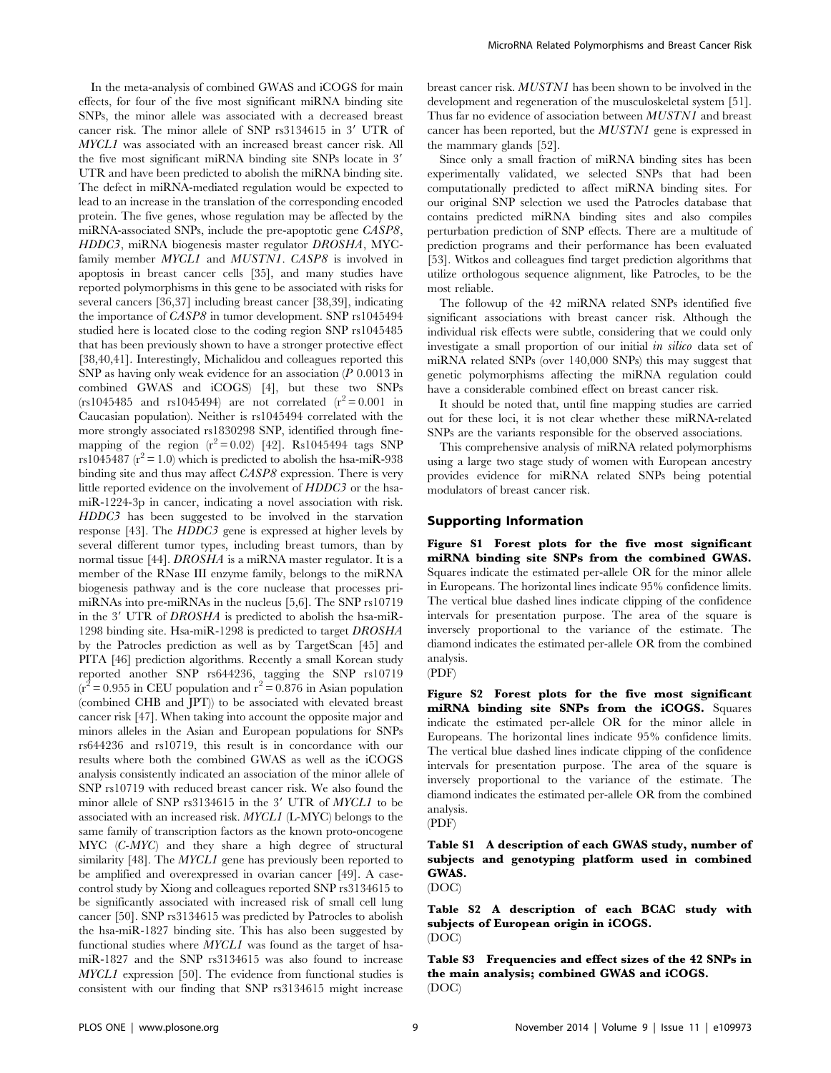In the meta-analysis of combined GWAS and iCOGS for main effects, for four of the five most significant miRNA binding site SNPs, the minor allele was associated with a decreased breast cancer risk. The minor allele of SNP rs3134615 in 3' UTR of MYCL1 was associated with an increased breast cancer risk. All the five most significant miRNA binding site SNPs locate in 3' UTR and have been predicted to abolish the miRNA binding site. The defect in miRNA-mediated regulation would be expected to lead to an increase in the translation of the corresponding encoded protein. The five genes, whose regulation may be affected by the miRNA-associated SNPs, include the pre-apoptotic gene CASP8, HDDC3, miRNA biogenesis master regulator DROSHA, MYCfamily member MYCL1 and MUSTN1. CASP8 is involved in apoptosis in breast cancer cells [35], and many studies have reported polymorphisms in this gene to be associated with risks for several cancers [36,37] including breast cancer [38,39], indicating the importance of CASP8 in tumor development. SNP rs1045494 studied here is located close to the coding region SNP rs1045485 that has been previously shown to have a stronger protective effect [38,40,41]. Interestingly, Michalidou and colleagues reported this SNP as having only weak evidence for an association  $(P\ 0.0013$  in combined GWAS and iCOGS) [4], but these two SNPs  $(rs1045485$  and  $rs1045494$ ) are not correlated  $(r^2=0.001$  in Caucasian population). Neither is rs1045494 correlated with the more strongly associated rs1830298 SNP, identified through finemapping of the region  $(r^2 = 0.02)$  [42]. Rs1045494 tags SNP rs1045487 ( $r^2$  = 1.0) which is predicted to abolish the hsa-miR-938 binding site and thus may affect CASP8 expression. There is very little reported evidence on the involvement of HDDC3 or the hsamiR-1224-3p in cancer, indicating a novel association with risk. HDDC3 has been suggested to be involved in the starvation response [43]. The HDDC3 gene is expressed at higher levels by several different tumor types, including breast tumors, than by normal tissue [44]. DROSHA is a miRNA master regulator. It is a member of the RNase III enzyme family, belongs to the miRNA biogenesis pathway and is the core nuclease that processes primiRNAs into pre-miRNAs in the nucleus [5,6]. The SNP rs10719 in the 3' UTR of  $DROSHA$  is predicted to abolish the hsa-miR-1298 binding site. Hsa-miR-1298 is predicted to target DROSHA by the Patrocles prediction as well as by TargetScan [45] and PITA [46] prediction algorithms. Recently a small Korean study reported another SNP rs644236, tagging the SNP rs10719  $(r^2= 0.955$  in CEU population and  $r^2= 0.876$  in Asian population (combined CHB and JPT)) to be associated with elevated breast cancer risk [47]. When taking into account the opposite major and minors alleles in the Asian and European populations for SNPs rs644236 and rs10719, this result is in concordance with our results where both the combined GWAS as well as the iCOGS analysis consistently indicated an association of the minor allele of SNP rs10719 with reduced breast cancer risk. We also found the minor allele of SNP rs $3134615$  in the 3' UTR of  $MYCL1$  to be associated with an increased risk. MYCL1 (L-MYC) belongs to the same family of transcription factors as the known proto-oncogene MYC (C-MYC) and they share a high degree of structural similarity [48]. The MYCL1 gene has previously been reported to be amplified and overexpressed in ovarian cancer [49]. A casecontrol study by Xiong and colleagues reported SNP rs3134615 to be significantly associated with increased risk of small cell lung cancer [50]. SNP rs3134615 was predicted by Patrocles to abolish the hsa-miR-1827 binding site. This has also been suggested by functional studies where MYCL1 was found as the target of hsamiR-1827 and the SNP rs3134615 was also found to increase MYCL1 expression [50]. The evidence from functional studies is consistent with our finding that SNP rs3134615 might increase

breast cancer risk. MUSTN1 has been shown to be involved in the development and regeneration of the musculoskeletal system [51]. Thus far no evidence of association between MUSTN1 and breast cancer has been reported, but the MUSTN1 gene is expressed in the mammary glands [52].

Since only a small fraction of miRNA binding sites has been experimentally validated, we selected SNPs that had been computationally predicted to affect miRNA binding sites. For our original SNP selection we used the Patrocles database that contains predicted miRNA binding sites and also compiles perturbation prediction of SNP effects. There are a multitude of prediction programs and their performance has been evaluated [53]. Witkos and colleagues find target prediction algorithms that utilize orthologous sequence alignment, like Patrocles, to be the most reliable.

The followup of the 42 miRNA related SNPs identified five significant associations with breast cancer risk. Although the individual risk effects were subtle, considering that we could only investigate a small proportion of our initial in silico data set of miRNA related SNPs (over 140,000 SNPs) this may suggest that genetic polymorphisms affecting the miRNA regulation could have a considerable combined effect on breast cancer risk.

It should be noted that, until fine mapping studies are carried out for these loci, it is not clear whether these miRNA-related SNPs are the variants responsible for the observed associations.

This comprehensive analysis of miRNA related polymorphisms using a large two stage study of women with European ancestry provides evidence for miRNA related SNPs being potential modulators of breast cancer risk.

#### Supporting Information

Figure S1 Forest plots for the five most significant miRNA binding site SNPs from the combined GWAS. Squares indicate the estimated per-allele OR for the minor allele in Europeans. The horizontal lines indicate 95% confidence limits. The vertical blue dashed lines indicate clipping of the confidence intervals for presentation purpose. The area of the square is inversely proportional to the variance of the estimate. The diamond indicates the estimated per-allele OR from the combined analysis.



Figure S2 Forest plots for the five most significant miRNA binding site SNPs from the iCOGS. Squares indicate the estimated per-allele OR for the minor allele in Europeans. The horizontal lines indicate 95% confidence limits. The vertical blue dashed lines indicate clipping of the confidence intervals for presentation purpose. The area of the square is inversely proportional to the variance of the estimate. The diamond indicates the estimated per-allele OR from the combined analysis.



Table S1 A description of each GWAS study, number of subjects and genotyping platform used in combined GWAS.

(DOC)

Table S2 A description of each BCAC study with subjects of European origin in iCOGS. (DOC)

Table S3 Frequencies and effect sizes of the 42 SNPs in the main analysis; combined GWAS and iCOGS. (DOC)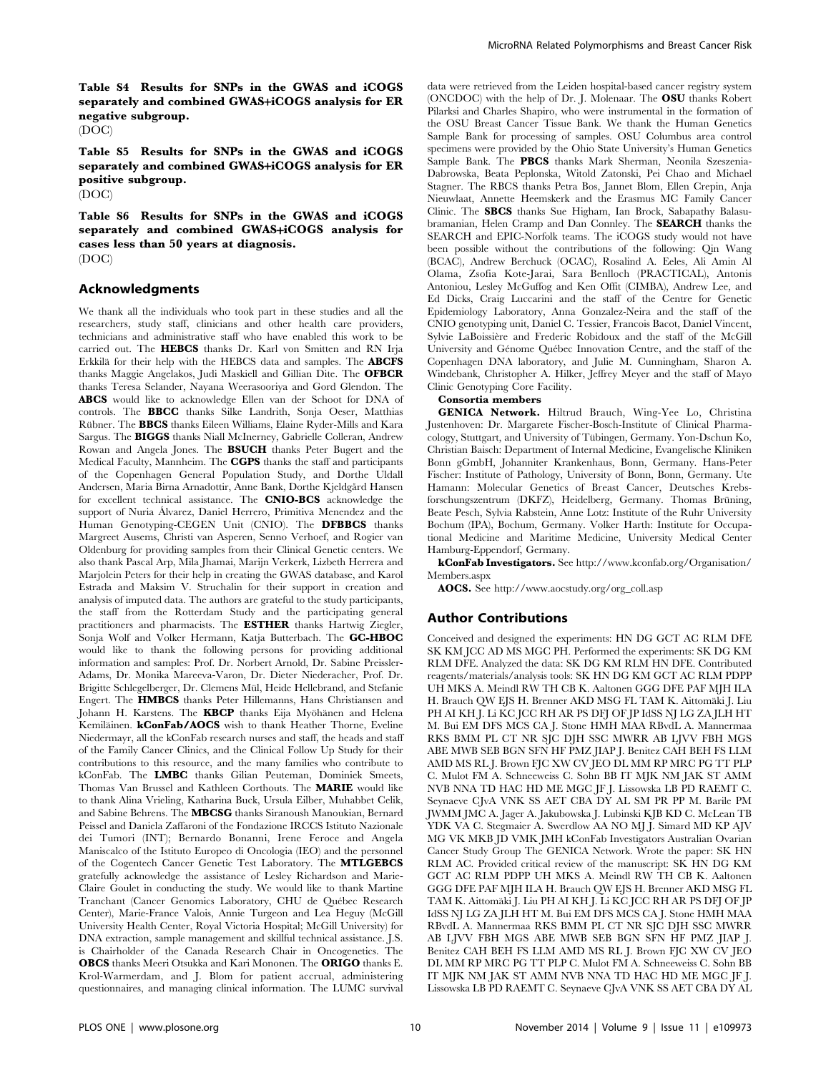Table S4 Results for SNPs in the GWAS and iCOGS separately and combined GWAS+iCOGS analysis for ER negative subgroup. (DOC)

Table S5 Results for SNPs in the GWAS and iCOGS separately and combined GWAS+iCOGS analysis for ER positive subgroup. (DOC)

Table S6 Results for SNPs in the GWAS and iCOGS separately and combined GWAS+iCOGS analysis for cases less than 50 years at diagnosis. (DOC)

#### Acknowledgments

We thank all the individuals who took part in these studies and all the researchers, study staff, clinicians and other health care providers, technicians and administrative staff who have enabled this work to be carried out. The HEBCS thanks Dr. Karl von Smitten and RN Irja Erkkilä for their help with the HEBCS data and samples. The **ABCFS** thanks Maggie Angelakos, Judi Maskiell and Gillian Dite. The OFBCR thanks Teresa Selander, Nayana Weerasooriya and Gord Glendon. The ABCS would like to acknowledge Ellen van der Schoot for DNA of controls. The BBCC thanks Silke Landrith, Sonja Oeser, Matthias Rübner. The BBCS thanks Eileen Williams, Elaine Ryder-Mills and Kara Sargus. The BIGGS thanks Niall McInerney, Gabrielle Colleran, Andrew Rowan and Angela Jones. The BSUCH thanks Peter Bugert and the Medical Faculty, Mannheim. The CGPS thanks the staff and participants of the Copenhagen General Population Study, and Dorthe Uldall Andersen, Maria Birna Arnadottir, Anne Bank, Dorthe Kjeldgård Hansen for excellent technical assistance. The CNIO-BCS acknowledge the support of Nuria Álvarez, Daniel Herrero, Primitiva Menendez and the Human Genotyping-CEGEN Unit (CNIO). The DFBBCS thanks Margreet Ausems, Christi van Asperen, Senno Verhoef, and Rogier van Oldenburg for providing samples from their Clinical Genetic centers. We also thank Pascal Arp, Mila Jhamai, Marijn Verkerk, Lizbeth Herrera and Marjolein Peters for their help in creating the GWAS database, and Karol Estrada and Maksim V. Struchalin for their support in creation and analysis of imputed data. The authors are grateful to the study participants, the staff from the Rotterdam Study and the participating general practitioners and pharmacists. The ESTHER thanks Hartwig Ziegler, Sonja Wolf and Volker Hermann, Katja Butterbach. The GC-HBOC would like to thank the following persons for providing additional information and samples: Prof. Dr. Norbert Arnold, Dr. Sabine Preissler-Adams, Dr. Monika Mareeva-Varon, Dr. Dieter Niederacher, Prof. Dr. Brigitte Schlegelberger, Dr. Clemens Mül, Heide Hellebrand, and Stefanie Engert. The HMBCS thanks Peter Hillemanns, Hans Christiansen and Johann H. Karstens. The KBCP thanks Eija Myöhänen and Helena Kemiläinen. **kConFab/AOCS** wish to thank Heather Thorne, Eveline Niedermayr, all the kConFab research nurses and staff, the heads and staff of the Family Cancer Clinics, and the Clinical Follow Up Study for their contributions to this resource, and the many families who contribute to kConFab. The LMBC thanks Gilian Peuteman, Dominiek Smeets, Thomas Van Brussel and Kathleen Corthouts. The MARIE would like to thank Alina Vrieling, Katharina Buck, Ursula Eilber, Muhabbet Celik, and Sabine Behrens. The MBCSG thanks Siranoush Manoukian, Bernard Peissel and Daniela Zaffaroni of the Fondazione IRCCS Istituto Nazionale dei Tumori (INT); Bernardo Bonanni, Irene Feroce and Angela Maniscalco of the Istituto Europeo di Oncologia (IEO) and the personnel of the Cogentech Cancer Genetic Test Laboratory. The MTLGEBCS gratefully acknowledge the assistance of Lesley Richardson and Marie-Claire Goulet in conducting the study. We would like to thank Martine Tranchant (Cancer Genomics Laboratory, CHU de Québec Research Center), Marie-France Valois, Annie Turgeon and Lea Heguy (McGill University Health Center, Royal Victoria Hospital; McGill University) for DNA extraction, sample management and skillful technical assistance. J.S. is Chairholder of the Canada Research Chair in Oncogenetics. The OBCS thanks Meeri Otsukka and Kari Mononen. The ORIGO thanks E. Krol-Warmerdam, and J. Blom for patient accrual, administering questionnaires, and managing clinical information. The LUMC survival data were retrieved from the Leiden hospital-based cancer registry system (ONCDOC) with the help of Dr. J. Molenaar. The OSU thanks Robert Pilarksi and Charles Shapiro, who were instrumental in the formation of the OSU Breast Cancer Tissue Bank. We thank the Human Genetics Sample Bank for processing of samples. OSU Columbus area control specimens were provided by the Ohio State University's Human Genetics Sample Bank. The PBCS thanks Mark Sherman, Neonila Szeszenia-Dabrowska, Beata Peplonska, Witold Zatonski, Pei Chao and Michael Stagner. The RBCS thanks Petra Bos, Jannet Blom, Ellen Crepin, Anja Nieuwlaat, Annette Heemskerk and the Erasmus MC Family Cancer Clinic. The SBCS thanks Sue Higham, Ian Brock, Sabapathy Balasubramanian, Helen Cramp and Dan Connley. The SEARCH thanks the SEARCH and EPIC-Norfolk teams. The iCOGS study would not have been possible without the contributions of the following: Qin Wang (BCAC), Andrew Berchuck (OCAC), Rosalind A. Eeles, Ali Amin Al Olama, Zsofia Kote-Jarai, Sara Benlloch (PRACTICAL), Antonis Antoniou, Lesley McGuffog and Ken Offit (CIMBA), Andrew Lee, and Ed Dicks, Craig Luccarini and the staff of the Centre for Genetic Epidemiology Laboratory, Anna Gonzalez-Neira and the staff of the CNIO genotyping unit, Daniel C. Tessier, Francois Bacot, Daniel Vincent, Sylvie LaBoissière and Frederic Robidoux and the staff of the McGill University and Génome Québec Innovation Centre, and the staff of the Copenhagen DNA laboratory, and Julie M. Cunningham, Sharon A. Windebank, Christopher A. Hilker, Jeffrey Meyer and the staff of Mayo Clinic Genotyping Core Facility.

#### Consortia members

GENICA Network. Hiltrud Brauch, Wing-Yee Lo, Christina Justenhoven: Dr. Margarete Fischer-Bosch-Institute of Clinical Pharmacology, Stuttgart, and University of Tübingen, Germany. Yon-Dschun Ko, Christian Baisch: Department of Internal Medicine, Evangelische Kliniken Bonn gGmbH, Johanniter Krankenhaus, Bonn, Germany. Hans-Peter Fischer: Institute of Pathology, University of Bonn, Bonn, Germany. Ute Hamann: Molecular Genetics of Breast Cancer, Deutsches Krebsforschungszentrum (DKFZ), Heidelberg, Germany. Thomas Brüning, Beate Pesch, Sylvia Rabstein, Anne Lotz: Institute of the Ruhr University Bochum (IPA), Bochum, Germany. Volker Harth: Institute for Occupational Medicine and Maritime Medicine, University Medical Center Hamburg-Eppendorf, Germany.

kConFab Investigators. See [http://www.kconfab.org/Organisation/](http://www.kconfab.org/Organisation/Members.aspx) [Members.aspx](http://www.kconfab.org/Organisation/Members.aspx)

AOCS. See [http://www.aocstudy.org/org\\_coll.asp](http://www.aocstudy.org/org_coll.asp)

#### Author Contributions

Conceived and designed the experiments: HN DG GCT AC RLM DFE SK KM JCC AD MS MGC PH. Performed the experiments: SK DG KM RLM DFE. Analyzed the data: SK DG KM RLM HN DFE. Contributed reagents/materials/analysis tools: SK HN DG KM GCT AC RLM PDPP UH MKS A. Meindl RW TH CB K. Aaltonen GGG DFE PAF MJH ILA H. Brauch QW EJS H. Brenner AKD MSG FL TAM K. Aittomäki J. Liu PH AI KH J. Li KC JCC RH AR PS DFJ OF JP IdSS NJ LG ZA JLH HT M. Bui EM DFS MCS CA J. Stone HMH MAA RBvdL A. Mannermaa RKS BMM PL CT NR SJC DJH SSC MWRR AB LJVV FBH MGS ABE MWB SEB BGN SFN HF PMZ JIAP J. Benitez CAH BEH FS LLM AMD MS RL J. Brown FJC XW CV JEO DL MM RP MRC PG TT PLP C. Mulot FM A. Schneeweiss C. Sohn BB IT MJK NM JAK ST AMM NVB NNA TD HAC HD ME MGC JF J. Lissowska LB PD RAEMT C. Seynaeve CJvA VNK SS AET CBA DY AL SM PR PP M. Barile PM JWMM JMC A. Jager A. Jakubowska J. Lubinski KJB KD C. McLean TB YDK VA C. Stegmaier A. Swerdlow AA NO MJ J. Simard MD KP AJV MG VK MKB JD VMK JMH kConFab Investigators Australian Ovarian Cancer Study Group The GENICA Network. Wrote the paper: SK HN RLM AC. Provided critical review of the manuscript: SK HN DG KM GCT AC RLM PDPP UH MKS A. Meindl RW TH CB K. Aaltonen GGG DFE PAF MJH ILA H. Brauch QW EJS H. Brenner AKD MSG FL TAM K. Aittomäki J. Liu PH AI KH J. Li KC JCC RH AR PS DFJ OF JP IdSS NJ LG ZA JLH HT M. Bui EM DFS MCS CA J. Stone HMH MAA RBvdL A. Mannermaa RKS BMM PL CT NR SJC DJH SSC MWRR AB LJVV FBH MGS ABE MWB SEB BGN SFN HF PMZ JIAP J. Benitez CAH BEH FS LLM AMD MS RL J. Brown FJC XW CV JEO DL MM RP MRC PG TT PLP C. Mulot FM A. Schneeweiss C. Sohn BB IT MJK NM JAK ST AMM NVB NNA TD HAC HD ME MGC JF J. Lissowska LB PD RAEMT C. Seynaeve CJvA VNK SS AET CBA DY AL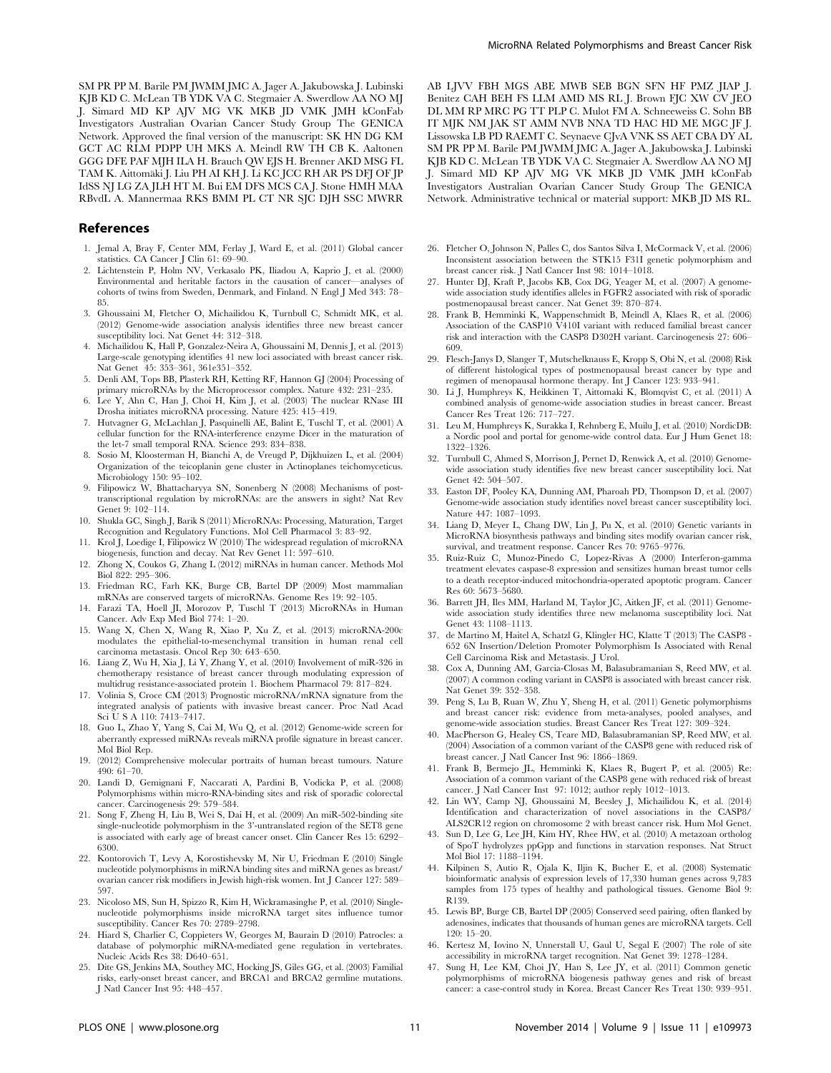SM PR PP M. Barile PM JWMM JMC A. Jager A. Jakubowska J. Lubinski KJB KD C. McLean TB YDK VA C. Stegmaier A. Swerdlow AA NO MJ J. Simard MD KP AJV MG VK MKB JD VMK JMH kConFab Investigators Australian Ovarian Cancer Study Group The GENICA Network. Approved the final version of the manuscript: SK HN DG KM GCT AC RLM PDPP UH MKS A. Meindl RW TH CB K. Aaltonen GGG DFE PAF MJH ILA H. Brauch QW EJS H. Brenner AKD MSG FL TAM K. Aittomäki J. Liu PH AI KH J. Li KC JCC RH AR PS DFJ OF JP IdSS NJ LG ZA JLH HT M. Bui EM DFS MCS CA J. Stone HMH MAA RBvdL A. Mannermaa RKS BMM PL CT NR SJC DJH SSC MWRR

#### References

- 1. Jemal A, Bray F, Center MM, Ferlay J, Ward E, et al. (2011) Global cancer statistics. CA Cancer J Clin 61: 69–90.
- 2. Lichtenstein P, Holm NV, Verkasalo PK, Iliadou A, Kaprio J, et al. (2000) Environmental and heritable factors in the causation of cancer—analyses of cohorts of twins from Sweden, Denmark, and Finland. N Engl J Med 343: 78– 85.
- 3. Ghoussaini M, Fletcher O, Michailidou K, Turnbull C, Schmidt MK, et al. (2012) Genome-wide association analysis identifies three new breast cancer susceptibility loci. Nat Genet 44: 312–318.
- 4. Michailidou K, Hall P, Gonzalez-Neira A, Ghoussaini M, Dennis J, et al. (2013) Large-scale genotyping identifies 41 new loci associated with breast cancer risk. Nat Genet 45: 353–361, 361e351–352.
- 5. Denli AM, Tops BB, Plasterk RH, Ketting RF, Hannon GJ (2004) Processing of primary microRNAs by the Microprocessor complex. Nature 432: 231–235.
- 6. Lee Y, Ahn C, Han J, Choi H, Kim J, et al. (2003) The nuclear RNase III Drosha initiates microRNA processing. Nature 425: 415–419.
- 7. Hutvagner G, McLachlan J, Pasquinelli AE, Balint E, Tuschl T, et al. (2001) A cellular function for the RNA-interference enzyme Dicer in the maturation of the let-7 small temporal RNA. Science 293: 834–838.
- 8. Sosio M, Kloosterman H, Bianchi A, de Vreugd P, Dijkhuizen L, et al. (2004) Organization of the teicoplanin gene cluster in Actinoplanes teichomyceticus. Microbiology 150: 95–102.
- 9. Filipowicz W, Bhattacharyya SN, Sonenberg N (2008) Mechanisms of posttranscriptional regulation by microRNAs: are the answers in sight? Nat Rev Genet 9: 102–114.
- 10. Shukla GC, Singh J, Barik S (2011) MicroRNAs: Processing, Maturation, Target Recognition and Regulatory Functions. Mol Cell Pharmacol 3: 83–92.
- 11. Krol J, Loedige I, Filipowicz W (2010) The widespread regulation of microRNA biogenesis, function and decay. Nat Rev Genet 11: 597–610.
- 12. Zhong X, Coukos G, Zhang L (2012) miRNAs in human cancer. Methods Mol Biol 822: 295–306.
- 13. Friedman RC, Farh KK, Burge CB, Bartel DP (2009) Most mammalian mRNAs are conserved targets of microRNAs. Genome Res 19: 92–105.
- 14. Farazi TA, Hoell JI, Morozov P, Tuschl T (2013) MicroRNAs in Human Cancer. Adv Exp Med Biol 774: 1–20.
- 15. Wang X, Chen X, Wang R, Xiao P, Xu Z, et al. (2013) microRNA-200c modulates the epithelial-to-mesenchymal transition in human renal cell carcinoma metastasis. Oncol Rep 30: 643–650.
- 16. Liang Z, Wu H, Xia J, Li Y, Zhang Y, et al. (2010) Involvement of miR-326 in chemotherapy resistance of breast cancer through modulating expression of multidrug resistance-associated protein 1. Biochem Pharmacol 79: 817–824.
- 17. Volinia S, Croce CM (2013) Prognostic microRNA/mRNA signature from the integrated analysis of patients with invasive breast cancer. Proc Natl Acad Sci U S A 110: 7413–7417.
- 18. Guo L, Zhao Y, Yang S, Cai M, Wu Q, et al. (2012) Genome-wide screen for aberrantly expressed miRNAs reveals miRNA profile signature in breast cancer. Mol Biol Rep.
- 19. (2012) Comprehensive molecular portraits of human breast tumours. Nature 490: 61–70.
- 20. Landi D, Gemignani F, Naccarati A, Pardini B, Vodicka P, et al. (2008) Polymorphisms within micro-RNA-binding sites and risk of sporadic colorectal cancer. Carcinogenesis 29: 579–584.
- 21. Song F, Zheng H, Liu B, Wei S, Dai H, et al. (2009) An miR-502-binding site single-nucleotide polymorphism in the 3'-untranslated region of the SET8 gene is associated with early age of breast cancer onset. Clin Cancer Res 15: 6292– 6300.
- 22. Kontorovich T, Levy A, Korostishevsky M, Nir U, Friedman E (2010) Single nucleotide polymorphisms in miRNA binding sites and miRNA genes as breast/ ovarian cancer risk modifiers in Jewish high-risk women. Int J Cancer 127: 589– 597.
- 23. Nicoloso MS, Sun H, Spizzo R, Kim H, Wickramasinghe P, et al. (2010) Singlenucleotide polymorphisms inside microRNA target sites influence tumor susceptibility. Cancer Res 70: 2789–2798.
- 24. Hiard S, Charlier C, Coppieters W, Georges M, Baurain D (2010) Patrocles: a database of polymorphic miRNA-mediated gene regulation in vertebrates. Nucleic Acids Res 38: D640–651.
- 25. Dite GS, Jenkins MA, Southey MC, Hocking JS, Giles GG, et al. (2003) Familial risks, early-onset breast cancer, and BRCA1 and BRCA2 germline mutations. J Natl Cancer Inst 95: 448–457.

AB LJVV FBH MGS ABE MWB SEB BGN SFN HF PMZ JIAP J. Benitez CAH BEH FS LLM AMD MS RL J. Brown FJC XW CV JEO DL MM RP MRC PG TT PLP C. Mulot FM A. Schneeweiss C. Sohn BB IT MJK NM JAK ST AMM NVB NNA TD HAC HD ME MGC JF J. Lissowska LB PD RAEMT C. Seynaeve CJvA VNK SS AET CBA DY AL SM PR PP M. Barile PM JWMM JMC A. Jager A. Jakubowska J. Lubinski KJB KD C. McLean TB YDK VA C. Stegmaier A. Swerdlow AA NO MJ J. Simard MD KP AJV MG VK MKB JD VMK JMH kConFab Investigators Australian Ovarian Cancer Study Group The GENICA Network. Administrative technical or material support: MKB JD MS RL.

- 26. Fletcher O, Johnson N, Palles C, dos Santos Silva I, McCormack V, et al. (2006) Inconsistent association between the STK15 F31I genetic polymorphism and breast cancer risk. J Natl Cancer Inst 98: 1014–1018.
- 27. Hunter DJ, Kraft P, Jacobs KB, Cox DG, Yeager M, et al. (2007) A genomewide association study identifies alleles in FGFR2 associated with risk of sporadic postmenopausal breast cancer. Nat Genet 39: 870–874.
- 28. Frank B, Hemminki K, Wappenschmidt B, Meindl A, Klaes R, et al. (2006) Association of the CASP10 V410I variant with reduced familial breast cancer risk and interaction with the CASP8 D302H variant. Carcinogenesis 27: 606– 609.
- 29. Flesch-Janys D, Slanger T, Mutschelknauss E, Kropp S, Obi N, et al. (2008) Risk of different histological types of postmenopausal breast cancer by type and regimen of menopausal hormone therapy. Int J Cancer 123: 933–941.
- 30. Li J, Humphreys K, Heikkinen T, Aittomaki K, Blomqvist C, et al. (2011) A combined analysis of genome-wide association studies in breast cancer. Breast Cancer Res Treat 126: 717–727.
- 31. Leu M, Humphreys K, Surakka I, Rehnberg E, Muilu J, et al. (2010) NordicDB: a Nordic pool and portal for genome-wide control data. Eur J Hum Genet 18: 1322–1326.
- 32. Turnbull C, Ahmed S, Morrison J, Pernet D, Renwick A, et al. (2010) Genomewide association study identifies five new breast cancer susceptibility loci. Nat Genet 42: 504–507.
- 33. Easton DF, Pooley KA, Dunning AM, Pharoah PD, Thompson D, et al. (2007) Genome-wide association study identifies novel breast cancer susceptibility loci. Nature 447: 1087–1093.
- 34. Liang D, Meyer L, Chang DW, Lin J, Pu X, et al. (2010) Genetic variants in MicroRNA biosynthesis pathways and binding sites modify ovarian cancer risk, survival, and treatment response. Cancer Res 70: 9765–9776.
- 35. Ruiz-Ruiz C, Munoz-Pinedo C, Lopez-Rivas A (2000) Interferon-gamma treatment elevates caspase-8 expression and sensitizes human breast tumor cells to a death receptor-induced mitochondria-operated apoptotic program. Cancer Res 60: 5673–5680.
- 36. Barrett JH, Iles MM, Harland M, Taylor JC, Aitken JF, et al. (2011) Genomewide association study identifies three new melanoma susceptibility loci. Nat Genet 43: 1108–1113.
- 37. de Martino M, Haitel A, Schatzl G, Klingler HC, Klatte T (2013) The CASP8 652 6N Insertion/Deletion Promoter Polymorphism Is Associated with Renal Cell Carcinoma Risk and Metastasis. J Urol.
- 38. Cox A, Dunning AM, Garcia-Closas M, Balasubramanian S, Reed MW, et al. (2007) A common coding variant in CASP8 is associated with breast cancer risk. Nat Genet 39: 352–358.
- 39. Peng S, Lu B, Ruan W, Zhu Y, Sheng H, et al. (2011) Genetic polymorphisms and breast cancer risk: evidence from meta-analyses, pooled analyses, and genome-wide association studies. Breast Cancer Res Treat 127: 309–324.
- 40. MacPherson G, Healey CS, Teare MD, Balasubramanian SP, Reed MW, et al. (2004) Association of a common variant of the CASP8 gene with reduced risk of breast cancer. J Natl Cancer Inst 96: 1866–1869.
- 41. Frank B, Bermejo JL, Hemminki K, Klaes R, Bugert P, et al. (2005) Re: Association of a common variant of the CASP8 gene with reduced risk of breast cancer. J Natl Cancer Inst 97: 1012; author reply 1012–1013.
- 42. Lin WY, Camp NJ, Ghoussaini M, Beesley J, Michailidou K, et al. (2014) Identification and characterization of novel associations in the CASP8/ ALS2CR12 region on chromosome 2 with breast cancer risk. Hum Mol Genet.
- 43. Sun D, Lee G, Lee JH, Kim HY, Rhee HW, et al. (2010) A metazoan ortholog of SpoT hydrolyzes ppGpp and functions in starvation responses. Nat Struct Mol Biol 17: 1188–1194.
- 44. Kilpinen S, Autio R, Ojala K, Iljin K, Bucher E, et al. (2008) Systematic bioinformatic analysis of expression levels of 17,330 human genes across 9,783 samples from 175 types of healthy and pathological tissues. Genome Biol 9: R139.
- 45. Lewis BP, Burge CB, Bartel DP (2005) Conserved seed pairing, often flanked by adenosines, indicates that thousands of human genes are microRNA targets. Cell 120: 15–20.
- 46. Kertesz M, Iovino N, Unnerstall U, Gaul U, Segal E (2007) The role of site accessibility in microRNA target recognition. Nat Genet 39: 1278–1284.
- 47. Sung H, Lee KM, Choi JY, Han S, Lee JY, et al. (2011) Common genetic polymorphisms of microRNA biogenesis pathway genes and risk of breast cancer: a case-control study in Korea. Breast Cancer Res Treat 130: 939–951.